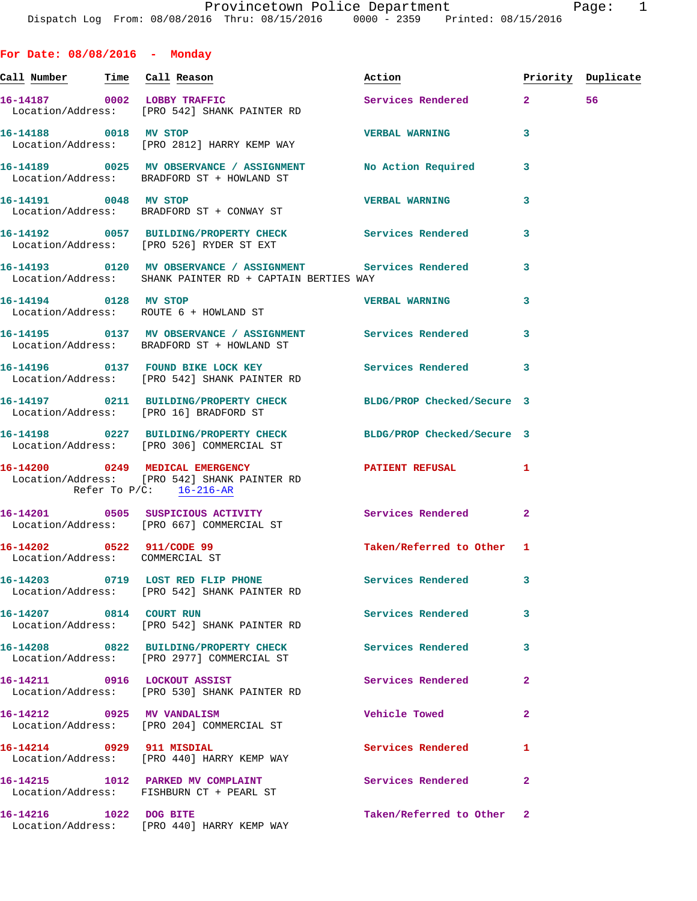| For Date: $08/08/2016$ - Monday                              |                                                                                                                  |                           |              |                    |
|--------------------------------------------------------------|------------------------------------------------------------------------------------------------------------------|---------------------------|--------------|--------------------|
| <u>Call Number — Time Call Reason</u>                        |                                                                                                                  | Action                    |              | Priority Duplicate |
| 16-14187 0002 LOBBY TRAFFIC                                  | Location/Address: [PRO 542] SHANK PAINTER RD                                                                     | Services Rendered 2       |              | 56                 |
| 16-14188 0018 MV STOP                                        | Location/Address: [PRO 2812] HARRY KEMP WAY                                                                      | <b>VERBAL WARNING</b>     | 3            |                    |
|                                                              | 16-14189 0025 MV OBSERVANCE / ASSIGNMENT No Action Required<br>Location/Address: BRADFORD ST + HOWLAND ST        |                           | 3            |                    |
|                                                              | 16-14191 0048 MV STOP<br>Location/Address: BRADFORD ST + CONWAY ST                                               | <b>VERBAL WARNING</b>     | 3            |                    |
|                                                              | 16-14192 0057 BUILDING/PROPERTY CHECK Services Rendered<br>Location/Address: [PRO 526] RYDER ST EXT              |                           | 3            |                    |
|                                                              | Location/Address: SHANK PAINTER RD + CAPTAIN BERTIES WAY                                                         |                           | 3            |                    |
| 16-14194 0128 MV STOP                                        | Location/Address: ROUTE 6 + HOWLAND ST                                                                           | <b>VERBAL WARNING</b>     | 3            |                    |
|                                                              | 16-14195 0137 MV OBSERVANCE / ASSIGNMENT Services Rendered<br>Location/Address: BRADFORD ST + HOWLAND ST         |                           | 3            |                    |
|                                                              | 16-14196 0137 FOUND BIKE LOCK KEY<br>Location/Address: [PRO 542] SHANK PAINTER RD                                | Services Rendered         | 3            |                    |
|                                                              | 16-14197 0211 BUILDING/PROPERTY CHECK BLDG/PROP Checked/Secure 3<br>Location/Address: [PRO 16] BRADFORD ST       |                           |              |                    |
|                                                              | 16-14198 0227 BUILDING/PROPERTY CHECK BLDG/PROP Checked/Secure 3<br>Location/Address: [PRO 306] COMMERCIAL ST    |                           |              |                    |
| Refer To $P/C$ : 16-216-AR                                   | 16-14200 0249 MEDICAL EMERGENCY <b>EXERGENER PATIENT REFUSAL</b><br>Location/Address: [PRO 542] SHANK PAINTER RD |                           | -1           |                    |
|                                                              | 16-14201 0505 SUSPICIOUS ACTIVITY<br>Location/Address: [PRO 667] COMMERCIAL ST                                   | Services Rendered         | $\mathbf{2}$ |                    |
| 16-14202 0522 911/CODE 99<br>Location/Address: COMMERCIAL ST |                                                                                                                  | Taken/Referred to Other 1 |              |                    |
|                                                              | 16-14203 0719 LOST RED FLIP PHONE<br>Location/Address: [PRO 542] SHANK PAINTER RD                                | <b>Services Rendered</b>  | 3            |                    |
| 16-14207 0814 COURT RUN                                      | Location/Address: [PRO 542] SHANK PAINTER RD                                                                     | Services Rendered         | 3            |                    |
|                                                              | 16-14208 0822 BUILDING/PROPERTY CHECK<br>Location/Address: [PRO 2977] COMMERCIAL ST                              | Services Rendered         | 3            |                    |
|                                                              | 16-14211 0916 LOCKOUT ASSIST<br>Location/Address: [PRO 530] SHANK PAINTER RD                                     | Services Rendered         | $\mathbf{2}$ |                    |
|                                                              | 16-14212 0925 MV VANDALISM<br>Location/Address: [PRO 204] COMMERCIAL ST                                          | Vehicle Towed             | $\mathbf{2}$ |                    |
| 16-14214 0929 911 MISDIAL                                    | Location/Address: [PRO 440] HARRY KEMP WAY                                                                       | Services Rendered         | 1            |                    |
|                                                              | 16-14215 1012 PARKED MV COMPLAINT<br>Location/Address: FISHBURN CT + PEARL ST                                    | <b>Services Rendered</b>  | $\mathbf{2}$ |                    |
|                                                              |                                                                                                                  |                           |              |                    |

**16-14216 1022 DOG BITE Taken/Referred to Other 2**  Location/Address: [PRO 440] HARRY KEMP WAY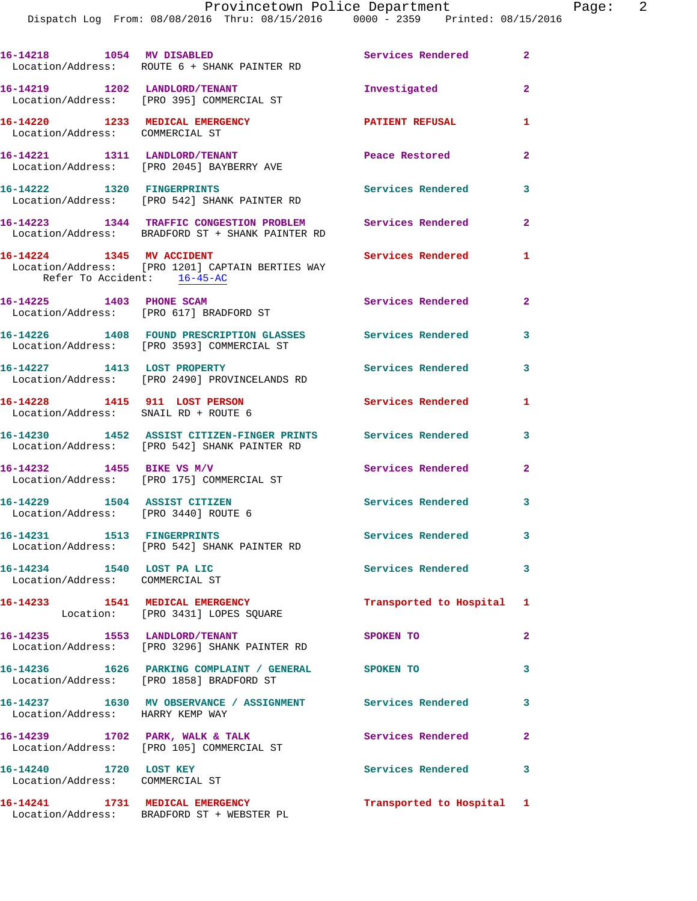Dispatch Log From: 08/08/2016 Thru: 08/15/2016 0000 - 2359 Printed: 08/15/2016

| 16-14218 1054 MV DISABLED                                             | Location/Address: ROUTE 6 + SHANK PAINTER RD                                                                 | <b>Services Rendered</b>  | $\mathbf{2}$               |
|-----------------------------------------------------------------------|--------------------------------------------------------------------------------------------------------------|---------------------------|----------------------------|
|                                                                       | 16-14219 1202 LANDLORD/TENANT<br>Location/Address: [PRO 395] COMMERCIAL ST                                   | Investigated              | $\overline{2}$             |
| 16-14220 1233 MEDICAL EMERGENCY<br>Location/Address: COMMERCIAL ST    |                                                                                                              | <b>PATIENT REFUSAL</b>    | 1                          |
|                                                                       | 16-14221 1311 LANDLORD/TENANT<br>Location/Address: [PRO 2045] BAYBERRY AVE                                   | Peace Restored            | $\overline{2}$             |
| 16-14222 1320 FINGERPRINTS                                            | Location/Address: [PRO 542] SHANK PAINTER RD                                                                 | Services Rendered         | 3                          |
|                                                                       | 16-14223 1344 TRAFFIC CONGESTION PROBLEM<br>Location/Address: BRADFORD ST + SHANK PAINTER RD                 | <b>Services Rendered</b>  | $\overline{2}$             |
| 16-14224 1345 MV ACCIDENT<br>Refer To Accident: 16-45-AC              | Location/Address: [PRO 1201] CAPTAIN BERTIES WAY                                                             | Services Rendered         | 1                          |
| 16-14225 1403 PHONE SCAM                                              | Location/Address: [PRO 617] BRADFORD ST                                                                      | Services Rendered         | $\mathbf{2}$               |
|                                                                       | 16-14226 1408 FOUND PRESCRIPTION GLASSES<br>Location/Address: [PRO 3593] COMMERCIAL ST                       | Services Rendered         | 3                          |
| 16-14227 1413 LOST PROPERTY                                           | Location/Address: [PRO 2490] PROVINCELANDS RD                                                                | Services Rendered         | 3                          |
| 16-14228 1415 911 LOST PERSON<br>Location/Address: SNAIL RD + ROUTE 6 |                                                                                                              | Services Rendered         | 1                          |
|                                                                       | 16-14230 1452 ASSIST CITIZEN-FINGER PRINTS Services Rendered<br>Location/Address: [PRO 542] SHANK PAINTER RD |                           | 3                          |
|                                                                       | 16-14232 1455 BIKE VS M/V<br>Location/Address: [PRO 175] COMMERCIAL ST                                       | Services Rendered         | $\overline{a}$             |
| 16-14229 1504 ASSIST CITIZEN<br>Location/Address: [PRO 3440] ROUTE 6  |                                                                                                              | Services Rendered         | 3                          |
|                                                                       | 16-14231 1513 FINGERPRINTS<br>Location/Address: [PRO 542] SHANK PAINTER RD                                   | <b>Services Rendered</b>  | $\overline{\phantom{a}}$ 3 |
| 16-14234 1540 LOST PA LIC<br>Location/Address: COMMERCIAL ST          |                                                                                                              | Services Rendered         | $\mathbf{3}$               |
|                                                                       | 16-14233 1541 MEDICAL EMERGENCY<br>Location: [PRO 3431] LOPES SQUARE                                         | Transported to Hospital 1 |                            |
| 16-14235 1553 LANDLORD/TENANT                                         | Location/Address: [PRO 3296] SHANK PAINTER RD                                                                | SPOKEN TO                 | $\mathbf{2}$               |
|                                                                       | 16-14236 1626 PARKING COMPLAINT / GENERAL SPOKEN TO<br>Location/Address: [PRO 1858] BRADFORD ST              |                           | 3                          |
| Location/Address: HARRY KEMP WAY                                      | 16-14237 1630 MV OBSERVANCE / ASSIGNMENT Services Rendered                                                   |                           | 3                          |
|                                                                       | 16-14239 1702 PARK, WALK & TALK<br>Location/Address: [PRO 105] COMMERCIAL ST                                 | Services Rendered         | $\mathbf{2}$               |
| 16-14240 1720 LOST KEY<br>Location/Address: COMMERCIAL ST             |                                                                                                              | Services Rendered         | 3                          |
|                                                                       | 16-14241 1731 MEDICAL EMERGENCY<br>Location/Address: BRADFORD ST + WEBSTER PL                                | Transported to Hospital 1 |                            |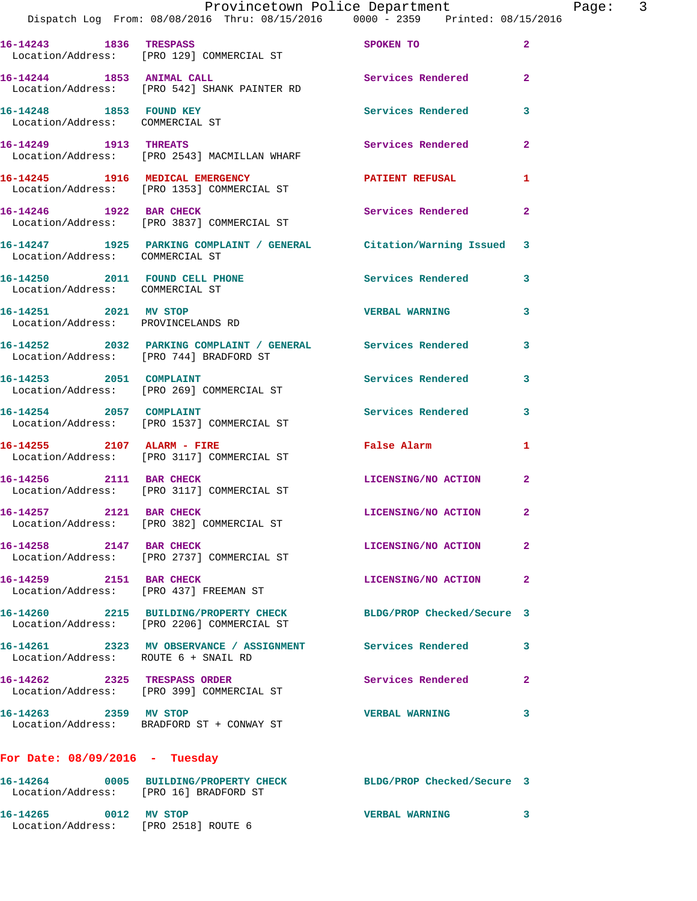|                                                               |                                                                                                                | Provincetown Police Department |                         | Page: 3 |  |
|---------------------------------------------------------------|----------------------------------------------------------------------------------------------------------------|--------------------------------|-------------------------|---------|--|
|                                                               | Dispatch Log From: 08/08/2016 Thru: 08/15/2016 0000 - 2359 Printed: 08/15/2016                                 |                                |                         |         |  |
| 16-14243 1836 TRESPASS                                        | Location/Address: [PRO 129] COMMERCIAL ST                                                                      | SPOKEN TO                      | $\overline{2}$          |         |  |
|                                                               | 16-14244 1853 ANIMAL CALL<br>Location/Address: [PRO 542] SHANK PAINTER RD                                      | <b>Services Rendered</b>       | $\overline{2}$          |         |  |
| 16-14248 1853 FOUND KEY<br>Location/Address: COMMERCIAL ST    |                                                                                                                | Services Rendered              | 3                       |         |  |
|                                                               | 16-14249 1913 THREATS<br>Location/Address: [PRO 2543] MACMILLAN WHARF                                          | Services Rendered              | $\mathbf{2}$            |         |  |
|                                                               | 16-14245 1916 MEDICAL EMERGENCY<br>Location/Address: [PRO 1353] COMMERCIAL ST                                  | PATIENT REFUSAL                | 1                       |         |  |
| 16-14246 1922 BAR CHECK                                       | Location/Address: [PRO 3837] COMMERCIAL ST                                                                     | Services Rendered              | $\mathbf{2}$            |         |  |
| Location/Address: COMMERCIAL ST                               | 16-14247 1925 PARKING COMPLAINT / GENERAL Citation/Warning Issued                                              |                                | 3                       |         |  |
| Location/Address: COMMERCIAL ST                               | 16-14250 2011 FOUND CELL PHONE Services Rendered                                                               |                                | 3                       |         |  |
| 16-14251 2021 MV STOP                                         | Location/Address: PROVINCELANDS RD                                                                             | <b>VERBAL WARNING</b>          | 3                       |         |  |
|                                                               | 16-14252 2032 PARKING COMPLAINT / GENERAL Services Rendered<br>Location/Address: [PRO 744] BRADFORD ST         |                                | 3                       |         |  |
|                                                               | 16-14253 2051 COMPLAINT<br>Location/Address: [PRO 269] COMMERCIAL ST                                           | Services Rendered              | 3                       |         |  |
|                                                               | 16-14254 2057 COMPLAINT<br>Location/Address: [PRO 1537] COMMERCIAL ST                                          | Services Rendered              | 3                       |         |  |
|                                                               | 16-14255 2107 ALARM - FIRE<br>Location/Address: [PRO 3117] COMMERCIAL ST                                       | False Alarm                    | 1                       |         |  |
| 16-14256 2111 BAR CHECK                                       | Location/Address: [PRO 3117] COMMERCIAL ST                                                                     | LICENSING/NO ACTION            | $\mathbf{2}$            |         |  |
| 16-14257 2121 BAR CHECK                                       | Location/Address: [PRO 382] COMMERCIAL ST                                                                      | LICENSING/NO ACTION            | $\overline{\mathbf{2}}$ |         |  |
| 16-14258 2147 BAR CHECK                                       | Location/Address: [PRO 2737] COMMERCIAL ST                                                                     | LICENSING/NO ACTION            | $\mathbf{2}$            |         |  |
| 16-14259 2151 BAR CHECK                                       | Location/Address: [PRO 437] FREEMAN ST                                                                         | LICENSING/NO ACTION            | $\mathbf{2}$            |         |  |
|                                                               | 16-14260 2215 BUILDING/PROPERTY CHECK BLDG/PROP Checked/Secure 3<br>Location/Address: [PRO 2206] COMMERCIAL ST |                                |                         |         |  |
| Location/Address: ROUTE 6 + SNAIL RD                          | 16-14261 2323 MV OBSERVANCE / ASSIGNMENT Services Rendered                                                     |                                | 3                       |         |  |
|                                                               | 16-14262 2325 TRESPASS ORDER<br>Location/Address: [PRO 399] COMMERCIAL ST                                      | Services Rendered              | $\mathbf{2}$            |         |  |
| 16-14263 2359 MV STOP                                         | Location/Address: BRADFORD ST + CONWAY ST                                                                      | <b>VERBAL WARNING</b>          | 3                       |         |  |
| For Date: $08/09/2016$ - Tuesday                              |                                                                                                                |                                |                         |         |  |
| Location/Address: [PRO 16] BRADFORD ST                        | 16-14264 0005 BUILDING/PROPERTY CHECK BLDG/PROP Checked/Secure 3                                               |                                |                         |         |  |
| 16-14265 0012 MV STOP<br>Location/Address: [PRO 2518] ROUTE 6 |                                                                                                                | <b>VERBAL WARNING</b>          | 3                       |         |  |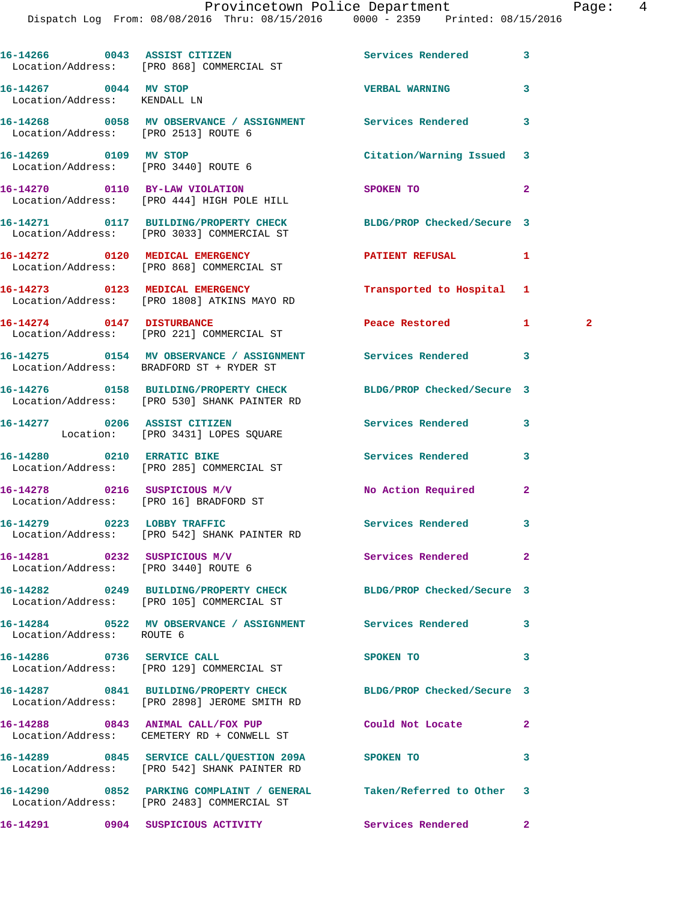|                                                                      | Dispatch Log From: 08/08/2016 Thru: 08/15/2016 0000 - 2359 Printed: 08/15/2016                                 |                                       |                |   |
|----------------------------------------------------------------------|----------------------------------------------------------------------------------------------------------------|---------------------------------------|----------------|---|
|                                                                      | 16-14266 0043 ASSIST CITIZEN<br>Location/Address: [PRO 868] COMMERCIAL ST                                      | Services Rendered                     | 3              |   |
| 16-14267 0044 MV STOP<br>Location/Address: KENDALL LN                |                                                                                                                | <b>VERBAL WARNING</b>                 | 3              |   |
| Location/Address: [PRO 2513] ROUTE 6                                 | 16-14268 0058 MV OBSERVANCE / ASSIGNMENT Services Rendered                                                     |                                       | 3              |   |
| 16-14269 0109 MV STOP<br>Location/Address: [PRO 3440] ROUTE 6        |                                                                                                                | Citation/Warning Issued               | 3              |   |
|                                                                      | 16-14270 0110 BY-LAW VIOLATION<br>Location/Address: [PRO 444] HIGH POLE HILL                                   | SPOKEN TO                             | $\overline{a}$ |   |
|                                                                      | 16-14271 0117 BUILDING/PROPERTY CHECK BLDG/PROP Checked/Secure 3<br>Location/Address: [PRO 3033] COMMERCIAL ST |                                       |                |   |
|                                                                      | 16-14272 0120 MEDICAL EMERGENCY<br>Location/Address: [PRO 868] COMMERCIAL ST                                   | PATIENT REFUSAL                       | 1              |   |
|                                                                      | 16-14273 0123 MEDICAL EMERGENCY<br>Location/Address: [PRO 1808] ATKINS MAYO RD                                 | Transported to Hospital 1             |                |   |
| 16-14274 0147 DISTURBANCE                                            | Location/Address: [PRO 221] COMMERCIAL ST                                                                      | Peace Restored and the Peace Restored | $\mathbf{1}$   | 2 |
|                                                                      | 16-14275 0154 MV OBSERVANCE / ASSIGNMENT Services Rendered<br>Location/Address: BRADFORD ST + RYDER ST         |                                       | 3              |   |
|                                                                      | 16-14276 0158 BUILDING/PROPERTY CHECK<br>Location/Address: [PRO 530] SHANK PAINTER RD                          | BLDG/PROP Checked/Secure 3            |                |   |
|                                                                      | 16-14277 0206 ASSIST CITIZEN<br>Location: [PRO 3431] LOPES SQUARE                                              | Services Rendered                     | 3              |   |
| 16-14280 0210 ERRATIC BIKE                                           | Location/Address: [PRO 285] COMMERCIAL ST                                                                      | Services Rendered                     | 3              |   |
| Location/Address: [PRO 16] BRADFORD ST                               | 16-14278 0216 SUSPICIOUS M/V                                                                                   | No Action Required                    | $\mathbf{2}$   |   |
|                                                                      | 16-14279 0223 LOBBY TRAFFIC<br>Location/Address: [PRO 542] SHANK PAINTER RD                                    | <b>Services Rendered</b>              |                |   |
| 16-14281 0232 SUSPICIOUS M/V<br>Location/Address: [PRO 3440] ROUTE 6 |                                                                                                                | Services Rendered                     | $\mathbf{2}$   |   |
|                                                                      | 16-14282 0249 BUILDING/PROPERTY CHECK BLDG/PROP Checked/Secure 3<br>Location/Address: [PRO 105] COMMERCIAL ST  |                                       |                |   |
| Location/Address: ROUTE 6                                            | 16-14284 0522 MV OBSERVANCE / ASSIGNMENT Services Rendered                                                     |                                       | 3              |   |
| 16-14286 0736 SERVICE CALL                                           | Location/Address: [PRO 129] COMMERCIAL ST                                                                      | SPOKEN TO                             | 3              |   |
|                                                                      | 16-14287 0841 BUILDING/PROPERTY CHECK<br>Location/Address: [PRO 2898] JEROME SMITH RD                          | BLDG/PROP Checked/Secure 3            |                |   |
|                                                                      | 16-14288 0843 ANIMAL CALL/FOX PUP<br>Location/Address: CEMETERY RD + CONWELL ST                                | Could Not Locate                      | $\mathbf{2}$   |   |
|                                                                      | 16-14289 0845 SERVICE CALL/QUESTION 209A SPOKEN TO<br>Location/Address: [PRO 542] SHANK PAINTER RD             |                                       | 3              |   |
|                                                                      | 16-14290 0852 PARKING COMPLAINT / GENERAL<br>Location/Address: [PRO 2483] COMMERCIAL ST                        | Taken/Referred to Other               | 3              |   |
|                                                                      | 16-14291 0904 SUSPICIOUS ACTIVITY                                                                              | Services Rendered                     | $\mathbf{2}$   |   |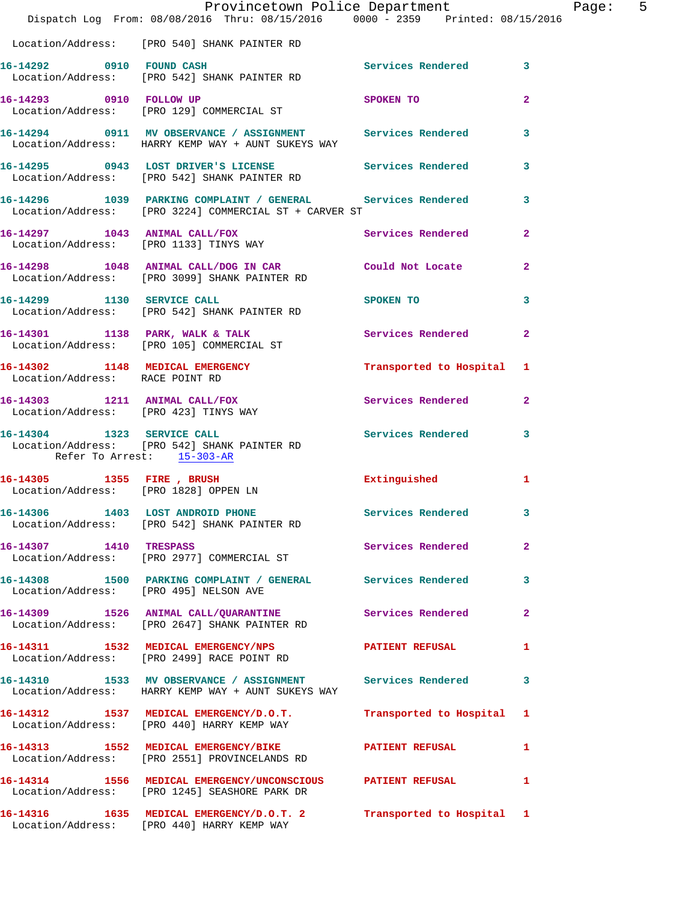|                                       | Provincetown Police Department The Rage: 5<br>Dispatch Log From: 08/08/2016 Thru: 08/15/2016 0000 - 2359 Printed: 08/15/2016 |                   |                |  |
|---------------------------------------|------------------------------------------------------------------------------------------------------------------------------|-------------------|----------------|--|
|                                       | Location/Address: [PRO 540] SHANK PAINTER RD                                                                                 |                   |                |  |
|                                       | 16-14292 0910 FOUND CASH Services Rendered 3<br>Location/Address: [PRO 542] SHANK PAINTER RD                                 |                   |                |  |
|                                       | 16-14293 0910 FOLLOW UP SPOKEN TO<br>Location/Address: [PRO 129] COMMERCIAL ST                                               |                   | $\mathbf{2}$   |  |
|                                       | 16-14294 0911 MV OBSERVANCE / ASSIGNMENT Services Rendered 3<br>Location/Address: HARRY KEMP WAY + AUNT SUKEYS WAY           |                   |                |  |
|                                       | 16-14295 0943 LOST DRIVER'S LICENSE Services Rendered 3<br>Location/Address: [PRO 542] SHANK PAINTER RD                      |                   |                |  |
|                                       | 16-14296 1039 PARKING COMPLAINT / GENERAL Services Rendered 3<br>Location/Address: [PRO 3224] COMMERCIAL ST + CARVER ST      |                   |                |  |
|                                       | 16-14297 1043 ANIMAL CALL/FOX Services Rendered 2<br>Location/Address: [PRO 1133] TINYS WAY                                  |                   |                |  |
|                                       | 16-14298 1048 ANIMAL CALL/DOG IN CAR Could Not Locate 2<br>Location/Address: [PRO 3099] SHANK PAINTER RD                     |                   |                |  |
|                                       | 16-14299 1130 SERVICE CALL<br>Location/Address: [PRO 542] SHANK PAINTER RD                                                   | SPOKEN TO 3       |                |  |
|                                       | 16-14301 1138 PARK, WALK & TALK 6 Services Rendered 2<br>Location/Address: [PRO 105] COMMERCIAL ST                           |                   |                |  |
| Location/Address: RACE POINT RD       | 16-14302 1148 MEDICAL EMERGENCY Transported to Hospital 1                                                                    |                   |                |  |
| Location/Address: [PRO 423] TINYS WAY | 16-14303 1211 ANIMAL CALL/FOX Services Rendered 2                                                                            |                   |                |  |
| Refer To Arrest: 15-303-AR            | 16-14304 1323 SERVICE CALL Services Rendered 3<br>Location/Address: [PRO 542] SHANK PAINTER RD                               |                   |                |  |
| Location/Address: [PRO 1828] OPPEN LN | 16-14305 1355 FIRE, BRUSH 1 Extinguished 1                                                                                   |                   |                |  |
|                                       | 16-14306 1403 LOST ANDROID PHONE Services Rendered 3<br>Location/Address: [PRO 542] SHANK PAINTER RD                         |                   |                |  |
| 16-14307 1410 TRESPASS                | Location/Address: [PRO 2977] COMMERCIAL ST                                                                                   | Services Rendered | $\overline{a}$ |  |
|                                       | 16-14308 1500 PARKING COMPLAINT / GENERAL Services Rendered 3<br>Location/Address: [PRO 495] NELSON AVE                      |                   |                |  |
|                                       | 16-14309 1526 ANIMAL CALL/QUARANTINE Services Rendered<br>Location/Address: [PRO 2647] SHANK PAINTER RD                      |                   | $\overline{2}$ |  |
|                                       | 16-14311 1532 MEDICAL EMERGENCY/NPS PATIENT REFUSAL 1<br>Location/Address: [PRO 2499] RACE POINT RD                          |                   |                |  |
|                                       | 16-14310 1533 MV OBSERVANCE / ASSIGNMENT Services Rendered<br>Location/Address: HARRY KEMP WAY + AUNT SUKEYS WAY             |                   | 3              |  |
|                                       | 16-14312 1537 MEDICAL EMERGENCY/D.O.T. Transported to Hospital 1<br>Location/Address: [PRO 440] HARRY KEMP WAY               |                   |                |  |
|                                       | 16-14313 1552 MEDICAL EMERGENCY/BIKE PATIENT REFUSAL<br>Location/Address: [PRO 2551] PROVINCELANDS RD                        |                   | $\mathbf{1}$   |  |
|                                       | 16-14314 1556 MEDICAL EMERGENCY/UNCONSCIOUS PATIENT REFUSAL<br>Location/Address: [PRO 1245] SEASHORE PARK DR                 |                   | $\mathbf{1}$   |  |
|                                       | 16-14316 1635 MEDICAL EMERGENCY/D.O.T. 2 Transported to Hospital 1<br>Location/Address: [PRO 440] HARRY KEMP WAY             |                   |                |  |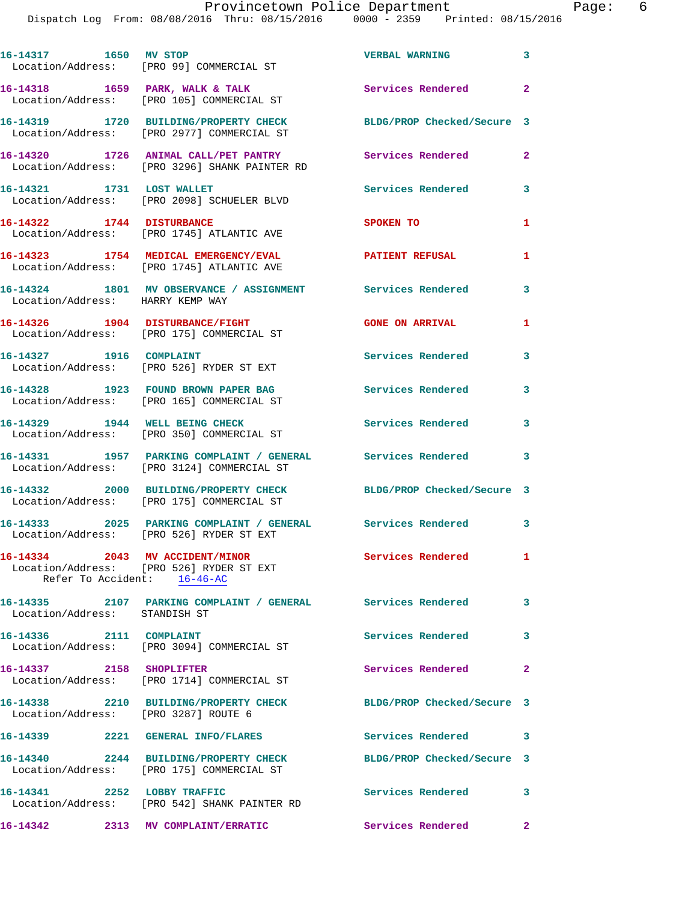Dispatch Log From: 08/08/2016 Th

|                 | INCELOWN POIICE DEPALLMENT |             |  |                     |  |
|-----------------|----------------------------|-------------|--|---------------------|--|
| iru: 08/15/2016 |                            | 0000 - 2359 |  | Printed: 08/15/2016 |  |
|                 |                            |             |  |                     |  |

**16-14317 1650 MV STOP VERBAL WARNING 3**  Location/Address: [PRO 99] COMMERCIAL ST 16-14318 1659 PARK, WALK & TALK **Services Rendered** 2 Location/Address: [PRO 105] COMMERCIAL ST **16-14319 1720 BUILDING/PROPERTY CHECK BLDG/PROP Checked/Secure 3**  Location/Address: [PRO 2977] COMMERCIAL ST **16-14320 1726 ANIMAL CALL/PET PANTRY Services Rendered 2**  Location/Address: [PRO 3296] SHANK PAINTER RD **16-14321 1731 LOST WALLET Services Rendered 3**  Location/Address: [PRO 2098] SCHUELER BLVD **16-14322** 1744 DISTURBANCE SPOKEN TO 1 Location/Address: [PRO 1745] ATLANTIC AVE **16-14323 1754 MEDICAL EMERGENCY/EVAL PATIENT REFUSAL 1**  Location/Address: [PRO 1745] ATLANTIC AVE **16-14324 1801 MV OBSERVANCE / ASSIGNMENT Services Rendered 3**  Location/Address: HARRY KEMP WAY **16-14326 1904 DISTURBANCE/FIGHT GONE ON ARRIVAL 1**  Location/Address: [PRO 175] COMMERCIAL ST 16-14327 1916 COMPLAINT **16-14327** 1916 2012 1916 1917 Location/Address: [PRO 526] RYDER ST EXT **16-14328 1923 FOUND BROWN PAPER BAG Services Rendered 3**  Location/Address: [PRO 165] COMMERCIAL ST **16-14329 1944 WELL BEING CHECK Services Rendered 3**  Location/Address: [PRO 350] COMMERCIAL ST **16-14331 1957 PARKING COMPLAINT / GENERAL Services Rendered 3**  Location/Address: [PRO 3124] COMMERCIAL ST **16-14332 2000 BUILDING/PROPERTY CHECK BLDG/PROP Checked/Secure 3**  Location/Address: [PRO 175] COMMERCIAL ST **16-14333 2025 PARKING COMPLAINT / GENERAL Services Rendered 3**  Location/Address: [PRO 526] RYDER ST EXT **16-14334 2043 MV ACCIDENT/MINOR Services Rendered 1**  Location/Address: [PRO 526] RYDER ST EXT Refer To Accident: 16-46-AC **16-14335 2107 PARKING COMPLAINT / GENERAL Services Rendered 3**  Location/Address: STANDISH ST 16-14336 2111 COMPLAINT **Services Rendered** 3 Location/Address: [PRO 3094] COMMERCIAL ST **16-14337 2158 SHOPLIFTER Services Rendered 2**  Location/Address: [PRO 1714] COMMERCIAL ST **16-14338 2210 BUILDING/PROPERTY CHECK BLDG/PROP Checked/Secure 3**  Location/Address: [PRO 3287] ROUTE 6 **16-14339 2221 GENERAL INFO/FLARES Services Rendered 3 16-14340 2244 BUILDING/PROPERTY CHECK BLDG/PROP Checked/Secure 3**  Location/Address: [PRO 175] COMMERCIAL ST **16-14341 2252 LOBBY TRAFFIC Services Rendered 3**  Location/Address: [PRO 542] SHANK PAINTER RD **16-14342 2313 MV COMPLAINT/ERRATIC Services Rendered 2**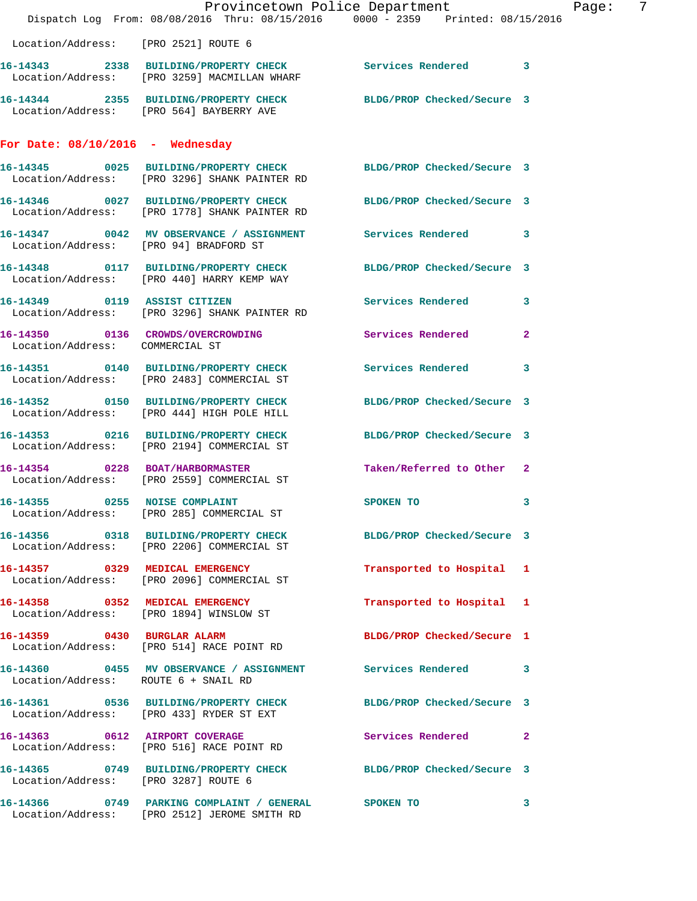|                                        | Dispatch Log From: 08/08/2016 Thru: 08/15/2016 0000 - 2359 Printed: 08/15/2016                                                                               | Provincetown Police Department | $\overline{7}$<br>Page: |
|----------------------------------------|--------------------------------------------------------------------------------------------------------------------------------------------------------------|--------------------------------|-------------------------|
| Location/Address: [PRO 2521] ROUTE 6   |                                                                                                                                                              |                                |                         |
|                                        | 16-14343 2338 BUILDING/PROPERTY CHECK Services Rendered 3                                                                                                    |                                |                         |
|                                        | Location/Address: [PRO 3259] MACMILLAN WHARF<br>16-14344 2355 BUILDING/PROPERTY CHECK BLDG/PROP Checked/Secure 3<br>Location/Address: [PRO 564] BAYBERRY AVE |                                |                         |
|                                        |                                                                                                                                                              |                                |                         |
| For Date: $08/10/2016$ - Wednesday     |                                                                                                                                                              |                                |                         |
|                                        | 16-14345 0025 BUILDING/PROPERTY CHECK BLDG/PROP Checked/Secure 3<br>Location/Address: [PRO 3296] SHANK PAINTER RD                                            |                                |                         |
|                                        | 16-14346 0027 BUILDING/PROPERTY CHECK BLDG/PROP Checked/Secure 3<br>Location/Address: [PRO 1778] SHANK PAINTER RD                                            |                                |                         |
| Location/Address: [PRO 94] BRADFORD ST | 16-14347 0042 MV OBSERVANCE / ASSIGNMENT Services Rendered 3                                                                                                 |                                |                         |
|                                        | 16-14348 0117 BUILDING/PROPERTY CHECK BLDG/PROP Checked/Secure 3<br>Location/Address: [PRO 440] HARRY KEMP WAY                                               |                                |                         |
|                                        | 16-14349  0119 ASSIST CITIZEN<br>Location/Address: [PRO 3296] SHANK PAINTER RD                                                                               | Services Rendered 3            |                         |
| Location/Address: COMMERCIAL ST        | 16-14350 0136 CROWDS/OVERCROWDING                                                                                                                            | Services Rendered 2            |                         |
|                                        | 16-14351 0140 BUILDING/PROPERTY CHECK<br>Location/Address: [PRO 2483] COMMERCIAL ST                                                                          | Services Rendered 3            |                         |
|                                        | 16-14352 0150 BUILDING/PROPERTY CHECK<br>Location/Address: [PRO 444] HIGH POLE HILL                                                                          | BLDG/PROP Checked/Secure 3     |                         |
|                                        | 16-14353 0216 BUILDING/PROPERTY CHECK<br>Location/Address: [PRO 2194] COMMERCIAL ST                                                                          | BLDG/PROP Checked/Secure 3     |                         |
|                                        | 16-14354 0228 BOAT/HARBORMASTER<br>Location/Address: [PRO 2559] COMMERCIAL ST                                                                                | Taken/Referred to Other 2      |                         |
| 16-14355 0255 NOISE COMPLAINT          | Location/Address: [PRO 285] COMMERCIAL ST                                                                                                                    | SPOKEN TO                      | 3                       |
|                                        | 16-14356 0318 BUILDING/PROPERTY CHECK BLDG/PROP Checked/Secure 3<br>Location/Address: [PRO 2206] COMMERCIAL ST                                               |                                |                         |
|                                        | 16-14357 0329 MEDICAL EMERGENCY<br>Location/Address: [PRO 2096] COMMERCIAL ST                                                                                | Transported to Hospital 1      |                         |
|                                        | 16-14358 0352 MEDICAL EMERGENCY<br>Location/Address: [PRO 1894] WINSLOW ST                                                                                   | Transported to Hospital 1      |                         |
|                                        | 16-14359 0430 BURGLAR ALARM<br>Location/Address: [PRO 514] RACE POINT RD                                                                                     | BLDG/PROP Checked/Secure 1     |                         |
| Location/Address: ROUTE 6 + SNAIL RD   | 16-14360 0455 MV OBSERVANCE / ASSIGNMENT Services Rendered 3                                                                                                 |                                |                         |
|                                        | 16-14361 0536 BUILDING/PROPERTY CHECK BLDG/PROP Checked/Secure 3<br>Location/Address: [PRO 433] RYDER ST EXT                                                 |                                |                         |
|                                        | 16-14363 0612 AIRPORT COVERAGE<br>Location/Address: [PRO 516] RACE POINT RD                                                                                  | Services Rendered 2            |                         |
| Location/Address: [PRO 3287] ROUTE 6   | 16-14365 0749 BUILDING/PROPERTY CHECK BLDG/PROP Checked/Secure 3                                                                                             |                                |                         |
|                                        | 16-14366 0749 PARKING COMPLAINT / GENERAL SPOKEN TO<br>Location/Address: [PRO 2512] JEROME SMITH RD                                                          |                                | $\mathbf{3}$            |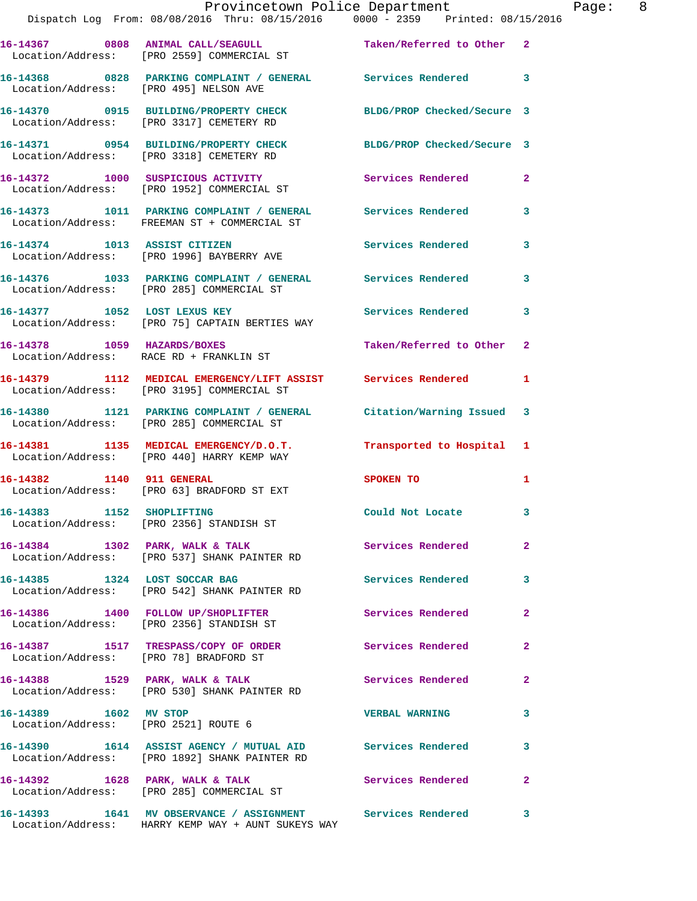|                                        | Provincetown Police Department<br>Dispatch Log From: 08/08/2016 Thru: 08/15/2016 0000 - 2359 Printed: 08/15/2016 |                          |                |
|----------------------------------------|------------------------------------------------------------------------------------------------------------------|--------------------------|----------------|
|                                        | 16-14367 0808 ANIMAL CALL/SEAGULL Taken/Referred to Other<br>Location/Address: [PRO 2559] COMMERCIAL ST          |                          | $\overline{a}$ |
| Location/Address: [PRO 495] NELSON AVE | 16-14368 0828 PARKING COMPLAINT / GENERAL Services Rendered                                                      |                          | 3              |
|                                        | 16-14370 0915 BUILDING/PROPERTY CHECK BLDG/PROP Checked/Secure 3<br>Location/Address: [PRO 3317] CEMETERY RD     |                          |                |
|                                        | 16-14371 0954 BUILDING/PROPERTY CHECK BLDG/PROP Checked/Secure 3<br>Location/Address: [PRO 3318] CEMETERY RD     |                          |                |
|                                        | 16-14372 1000 SUSPICIOUS ACTIVITY<br>Location/Address: [PRO 1952] COMMERCIAL ST                                  | Services Rendered        | $\mathbf{2}$   |
|                                        | 16-14373 1011 PARKING COMPLAINT / GENERAL Services Rendered<br>Location/Address: FREEMAN ST + COMMERCIAL ST      |                          | 3              |
|                                        | 16-14374 1013 ASSIST CITIZEN<br>Location/Address: [PRO 1996] BAYBERRY AVE                                        | Services Rendered        | 3              |
|                                        | 16-14376 1033 PARKING COMPLAINT / GENERAL Services Rendered<br>Location/Address: [PRO 285] COMMERCIAL ST         |                          | 3              |
|                                        | 16-14377 1052 LOST LEXUS KEY<br>Location/Address: [PRO 75] CAPTAIN BERTIES WAY                                   | <b>Services Rendered</b> | 3              |
|                                        | 16-14378 1059 HAZARDS/BOXES<br>Location/Address: RACE RD + FRANKLIN ST                                           | Taken/Referred to Other  | $\mathbf{2}$   |
|                                        | 16-14379 1112 MEDICAL EMERGENCY/LIFT ASSIST Services Rendered<br>Location/Address: [PRO 3195] COMMERCIAL ST      |                          | 1              |
|                                        | 16-14380 1121 PARKING COMPLAINT / GENERAL Citation/Warning Issued<br>Location/Address: [PRO 285] COMMERCIAL ST   |                          | 3              |
|                                        | 16-14381 1135 MEDICAL EMERGENCY/D.O.T. Transported to Hospital<br>Location/Address: [PRO 440] HARRY KEMP WAY     |                          | 1              |
| 16-14382 1140 911 GENERAL              | Location/Address: [PRO 63] BRADFORD ST EXT                                                                       | SPOKEN TO                | 1              |
|                                        | 16-14383 1152 SHOPLIFTING<br>Location/Address: [PRO 2356] STANDISH ST                                            | Could Not Locate         | 3              |
|                                        | 16-14384 1302 PARK, WALK & TALK<br>Location/Address: [PRO 537] SHANK PAINTER RD                                  | <b>Services Rendered</b> | $\overline{2}$ |
|                                        | 16-14385 1324 LOST SOCCAR BAG<br>Location/Address: [PRO 542] SHANK PAINTER RD                                    | Services Rendered        | 3              |
|                                        | 16-14386 1400 FOLLOW UP/SHOPLIFTER<br>Location/Address: [PRO 2356] STANDISH ST                                   | Services Rendered        | 2              |
| Location/Address: [PRO 78] BRADFORD ST | 16-14387 1517 TRESPASS/COPY OF ORDER                                                                             | Services Rendered        | $\mathbf{2}$   |
|                                        | 16-14388 1529 PARK, WALK & TALK<br>Location/Address: [PRO 530] SHANK PAINTER RD                                  | Services Rendered        | $\mathbf{2}$   |
| 16-14389 1602 MV STOP                  | Location/Address: [PRO 2521] ROUTE 6                                                                             | <b>VERBAL WARNING</b>    | 3              |
|                                        | 16-14390 1614 ASSIST AGENCY / MUTUAL AID Services Rendered<br>Location/Address: [PRO 1892] SHANK PAINTER RD      |                          | 3              |
|                                        | 16-14392 1628 PARK, WALK & TALK<br>Location/Address: [PRO 285] COMMERCIAL ST                                     | Services Rendered        | $\overline{a}$ |
|                                        | 16-14393                1641    MV  OBSERVANCE  /  ASSIGNMENT                 Services  Rendered                 |                          | 3              |

Location/Address: HARRY KEMP WAY + AUNT SUKEYS WAY

Page: 8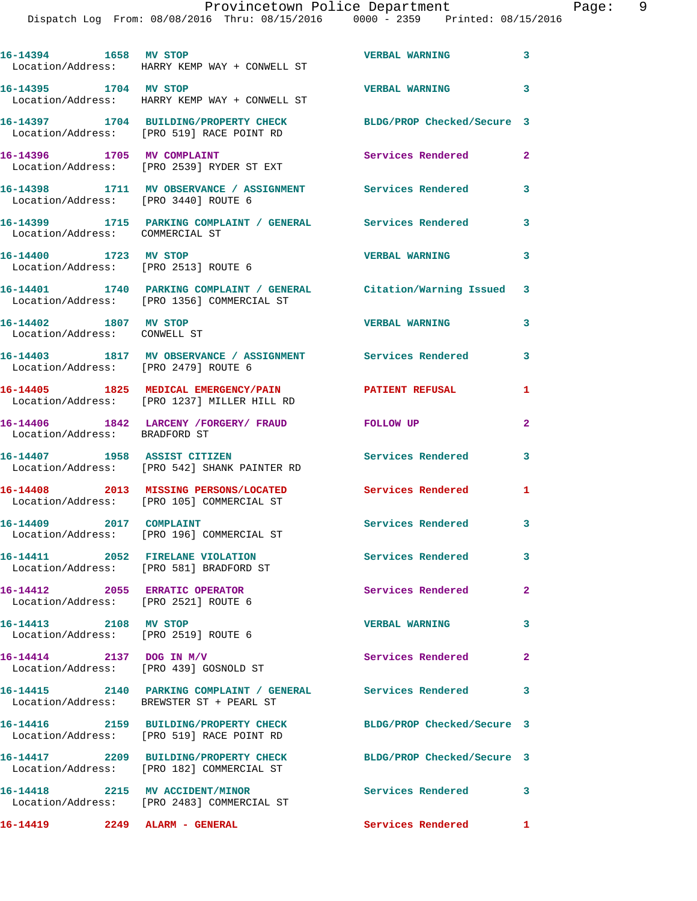| 16-14394 1658 MV STOP                                 | Location/Address: HARRY KEMP WAY + CONWELL ST                                                                   | <b>VERBAL WARNING</b>      | 3                       |
|-------------------------------------------------------|-----------------------------------------------------------------------------------------------------------------|----------------------------|-------------------------|
| 16-14395 1704 MV STOP                                 | Location/Address: HARRY KEMP WAY + CONWELL ST                                                                   | <b>VERBAL WARNING</b>      | 3                       |
|                                                       | 16-14397 1704 BUILDING/PROPERTY CHECK<br>Location/Address: [PRO 519] RACE POINT RD                              | BLDG/PROP Checked/Secure 3 |                         |
| 16-14396 1705 MV COMPLAINT                            | Location/Address: [PRO 2539] RYDER ST EXT                                                                       | Services Rendered          | $\overline{\mathbf{2}}$ |
|                                                       | 16-14398 1711 MV OBSERVANCE / ASSIGNMENT<br>Location/Address: [PRO 3440] ROUTE 6                                | <b>Services Rendered</b>   | 3                       |
| Location/Address: COMMERCIAL ST                       | 16-14399 1715 PARKING COMPLAINT / GENERAL Services Rendered                                                     |                            | 3                       |
|                                                       | 16-14400 1723 MV STOP<br>Location/Address: [PRO 2513] ROUTE 6                                                   | <b>VERBAL WARNING</b>      | 3                       |
|                                                       | 16-14401 1740 PARKING COMPLAINT / GENERAL Citation/Warning Issued<br>Location/Address: [PRO 1356] COMMERCIAL ST |                            | 3                       |
| 16-14402 1807 MV STOP<br>Location/Address: CONWELL ST |                                                                                                                 | <b>VERBAL WARNING</b>      | 3                       |
|                                                       | 16-14403 1817 MV OBSERVANCE / ASSIGNMENT Services Rendered<br>Location/Address: [PRO 2479] ROUTE 6              |                            | 3                       |
|                                                       | 16-14405 1825 MEDICAL EMERGENCY/PAIN<br>Location/Address: [PRO 1237] MILLER HILL RD                             | <b>PATIENT REFUSAL</b>     | 1                       |
|                                                       | 16-14406 1842 LARCENY /FORGERY/ FRAUD<br>Location/Address: BRADFORD ST                                          | FOLLOW UP                  | $\mathbf{2}$            |
|                                                       | 16-14407 1958 ASSIST CITIZEN<br>Location/Address: [PRO 542] SHANK PAINTER RD                                    | Services Rendered          | 3                       |
|                                                       | 16-14408 2013 MISSING PERSONS/LOCATED<br>Location/Address: [PRO 105] COMMERCIAL ST                              | Services Rendered          | 1                       |
| 16-14409 2017 COMPLAINT                               | Location/Address: [PRO 196] COMMERCIAL ST                                                                       | Services Rendered          | 3                       |
|                                                       | Location/Address: [PRO 581] BRADFORD ST                                                                         | <b>Services Rendered</b>   |                         |
|                                                       | 16-14412 2055 ERRATIC OPERATOR<br>Location/Address: [PRO 2521] ROUTE 6                                          | Services Rendered          | $\mathbf{2}$            |
| 16-14413 2108 MV STOP                                 | Location/Address: [PRO 2519] ROUTE 6                                                                            | <b>VERBAL WARNING</b>      | 3                       |
|                                                       | 16-14414 2137 DOG IN M/V<br>Location/Address: [PRO 439] GOSNOLD ST                                              | Services Rendered          | $\mathbf{2}$            |
|                                                       | 16-14415  2140  PARKING COMPLAINT / GENERAL  Services Rendered<br>Location/Address: BREWSTER ST + PEARL ST      |                            | 3                       |
|                                                       | 16-14416 2159 BUILDING/PROPERTY CHECK<br>Location/Address: [PRO 519] RACE POINT RD                              | BLDG/PROP Checked/Secure 3 |                         |
|                                                       | 16-14417 2209 BUILDING/PROPERTY CHECK<br>Location/Address: [PRO 182] COMMERCIAL ST                              | BLDG/PROP Checked/Secure 3 |                         |
|                                                       | 16-14418 2215 MV ACCIDENT/MINOR<br>Location/Address: [PRO 2483] COMMERCIAL ST                                   | Services Rendered          | 3                       |
| 16-14419 2249 ALARM - GENERAL                         |                                                                                                                 | Services Rendered          | $\mathbf{1}$            |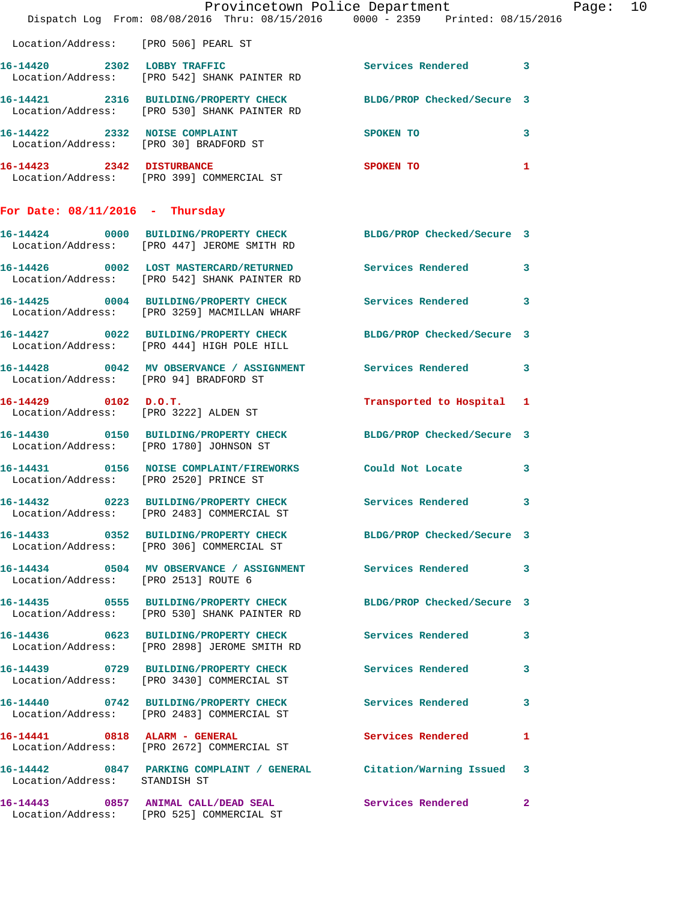|                                        | Dispatch Log From: 08/08/2016 Thru: 08/15/2016 0000 - 2359 Printed: 08/15/2016                                   | Provincetown Police Department |              | Page: 10 |
|----------------------------------------|------------------------------------------------------------------------------------------------------------------|--------------------------------|--------------|----------|
| Location/Address: [PRO 506] PEARL ST   |                                                                                                                  |                                |              |          |
|                                        | 16-14420 2302 LOBBY TRAFFIC<br>Location/Address: [PRO 542] SHANK PAINTER RD                                      | Services Rendered 3            |              |          |
|                                        | 16-14421 2316 BUILDING/PROPERTY CHECK BLDG/PROP Checked/Secure 3<br>Location/Address: [PRO 530] SHANK PAINTER RD |                                |              |          |
|                                        | 16-14422 2332 NOISE COMPLAINT<br>Location/Address: [PRO 30] BRADFORD ST                                          | <b>SPOKEN TO</b>               | 3            |          |
|                                        | 16-14423 2342 DISTURBANCE<br>Location/Address: [PRO 399] COMMERCIAL ST                                           | SPOKEN TO                      | $\mathbf{1}$ |          |
| For Date: $08/11/2016$ - Thursday      |                                                                                                                  |                                |              |          |
|                                        | 16-14424 0000 BUILDING/PROPERTY CHECK BLDG/PROP Checked/Secure 3<br>Location/Address: [PRO 447] JEROME SMITH RD  |                                |              |          |
|                                        | 16-14426 0002 LOST MASTERCARD/RETURNED Services Rendered 3<br>Location/Address: [PRO 542] SHANK PAINTER RD       |                                |              |          |
|                                        | 16-14425 0004 BUILDING/PROPERTY CHECK Services Rendered 3<br>Location/Address: [PRO 3259] MACMILLAN WHARF        |                                |              |          |
|                                        | 16-14427 0022 BUILDING/PROPERTY CHECK BLDG/PROP Checked/Secure 3<br>Location/Address: [PRO 444] HIGH POLE HILL   |                                |              |          |
|                                        | 16-14428 0042 MV OBSERVANCE / ASSIGNMENT Services Rendered 3<br>Location/Address: [PRO 94] BRADFORD ST           |                                |              |          |
| 16-14429 0102 D.O.T.                   | Location/Address: [PRO 3222] ALDEN ST                                                                            | Transported to Hospital 1      |              |          |
|                                        | 16-14430 0150 BUILDING/PROPERTY CHECK BLDG/PROP Checked/Secure 3<br>Location/Address: [PRO 1780] JOHNSON ST      |                                |              |          |
| Location/Address: [PRO 2520] PRINCE ST | 16-14431 0156 NOISE COMPLAINT/FIREWORKS Could Not Locate                                                         |                                | 3            |          |
|                                        | 16-14432 0223 BUILDING/PROPERTY CHECK Services Rendered 3<br>Location/Address: [PRO 2483] COMMERCIAL ST          |                                |              |          |
|                                        | 16-14433 0352 BUILDING/PROPERTY CHECK BLDG/PROP Checked/Secure 3<br>Location/Address: [PRO 306] COMMERCIAL ST    |                                |              |          |
| Location/Address: [PRO 2513] ROUTE 6   | 16-14434 0504 MV OBSERVANCE / ASSIGNMENT Services Rendered 3                                                     |                                |              |          |
|                                        | 16-14435 0555 BUILDING/PROPERTY CHECK BLDG/PROP Checked/Secure 3<br>Location/Address: [PRO 530] SHANK PAINTER RD |                                |              |          |
|                                        | 16-14436 0623 BUILDING/PROPERTY CHECK Services Rendered<br>Location/Address: [PRO 2898] JEROME SMITH RD          |                                | 3            |          |
|                                        | 16-14439 0729 BUILDING/PROPERTY CHECK<br>Location/Address: [PRO 3430] COMMERCIAL ST                              | Services Rendered 3            |              |          |
|                                        | 16-14440 0742 BUILDING/PROPERTY CHECK Services Rendered<br>Location/Address: [PRO 2483] COMMERCIAL ST            |                                | 3            |          |
|                                        | 16-14441 0818 ALARM - GENERAL<br>Location/Address: [PRO 2672] COMMERCIAL ST                                      | Services Rendered              | $\mathbf{1}$ |          |
| Location/Address: STANDISH ST          | 16-14442 0847 PARKING COMPLAINT / GENERAL Citation/Warning Issued 3                                              |                                |              |          |
|                                        | 16-14443 0857 ANIMAL CALL/DEAD SEAL<br>Location/Address: [PRO 525] COMMERCIAL ST                                 | Services Rendered              | $\mathbf{2}$ |          |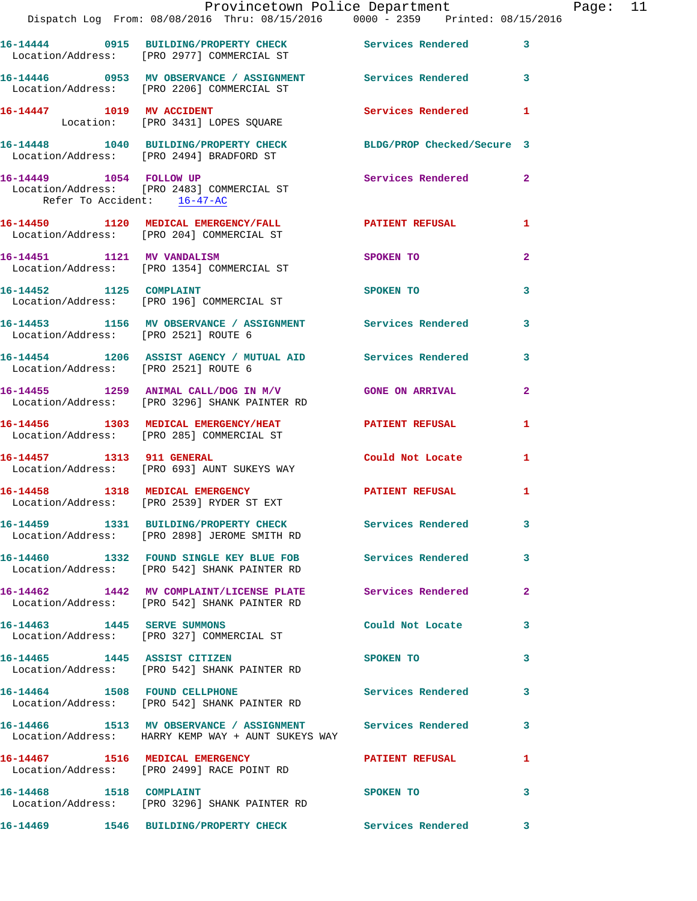|                                      | Provincetown Police Department The Page: 11<br>Dispatch Log From: 08/08/2016 Thru: 08/15/2016   0000 - 2359   Printed: 08/15/2016 |                            |                |  |
|--------------------------------------|-----------------------------------------------------------------------------------------------------------------------------------|----------------------------|----------------|--|
|                                      | 16-14444 0915 BUILDING/PROPERTY CHECK Services Rendered 3<br>Location/Address: [PRO 2977] COMMERCIAL ST                           |                            |                |  |
|                                      | 16-14446 0953 MV OBSERVANCE / ASSIGNMENT Services Rendered 3<br>Location/Address: [PRO 2206] COMMERCIAL ST                        |                            |                |  |
|                                      | 16-14447 1019 MV ACCIDENT<br>Location: [PRO 3431] LOPES SQUARE                                                                    | Services Rendered 1        |                |  |
|                                      | 16-14448 1040 BUILDING/PROPERTY CHECK BLDG/PROP Checked/Secure 3<br>Location/Address: [PRO 2494] BRADFORD ST                      |                            |                |  |
| Refer To Accident: 16-47-AC          | 16-14449    1054    FOLLOW UP<br>Location/Address: [PRO 2483] COMMERCIAL ST                                                       | Services Rendered 2        |                |  |
|                                      | 16-14450 1120 MEDICAL EMERGENCY/FALL <b>16-14450 PATIENT REFUSAL</b><br>Location/Address: [PRO 204] COMMERCIAL ST                 |                            | $\mathbf{1}$   |  |
|                                      | 16-14451 1121 MV VANDALISM<br>Location/Address: [PRO 1354] COMMERCIAL ST                                                          | SPOKEN TO                  | $\overline{2}$ |  |
|                                      | 16-14452 1125 COMPLAINT<br>Location/Address: [PRO 196] COMMERCIAL ST                                                              | SPOKEN TO                  | 3              |  |
| Location/Address: [PRO 2521] ROUTE 6 | 16-14453 1156 MV OBSERVANCE / ASSIGNMENT Services Rendered 3                                                                      |                            |                |  |
| Location/Address: [PRO 2521] ROUTE 6 | 16-14454 1206 ASSIST AGENCY / MUTUAL AID Services Rendered 3                                                                      |                            |                |  |
|                                      | 16-14455 1259 ANIMAL CALL/DOG IN M/V GONE ON ARRIVAL<br>Location/Address: [PRO 3296] SHANK PAINTER RD                             |                            | $\mathbf{2}$   |  |
|                                      | 16-14456 1303 MEDICAL EMERGENCY/HEAT PATIENT REFUSAL<br>Location/Address: [PRO 285] COMMERCIAL ST                                 |                            | 1              |  |
|                                      |                                                                                                                                   | Could Not Locate           | 1              |  |
|                                      | 16-14458 1318 MEDICAL EMERGENCY PATIENT REFUSAL<br>Location/Address: [PRO 2539] RYDER ST EXT                                      |                            | 1              |  |
|                                      | 16-14459 1331 BUILDING/PROPERTY CHECK Services Rendered 3<br>Location/Address: [PRO 2898] JEROME SMITH RD                         |                            |                |  |
|                                      | 16-14460 1332 FOUND SINGLE KEY BLUE FOB Services Rendered 3<br>Location/Address: [PRO 542] SHANK PAINTER RD                       |                            |                |  |
|                                      | 16-14462 1442 MV COMPLAINT/LICENSE PLATE Services Rendered 2<br>Location/Address: [PRO 542] SHANK PAINTER RD                      |                            |                |  |
|                                      | 16-14463 1445 SERVE SUMMONS<br>Location/Address: [PRO 327] COMMERCIAL ST                                                          | Could Not Locate           | 3              |  |
|                                      | 16-14465 1445 ASSIST CITIZEN SPOKEN TO<br>Location/Address: [PRO 542] SHANK PAINTER RD                                            |                            | 3              |  |
|                                      | 16-14464 1508 FOUND CELLPHONE<br>Location/Address: [PRO 542] SHANK PAINTER RD                                                     | Services Rendered 3        |                |  |
|                                      | 16-14466 1513 MV OBSERVANCE / ASSIGNMENT Services Rendered 3<br>Location/Address: HARRY KEMP WAY + AUNT SUKEYS WAY                |                            |                |  |
|                                      | 16-14467 1516 MEDICAL EMERGENCY 1 PATIENT REFUSAL 1<br>Location/Address: [PRO 2499] RACE POINT RD                                 |                            |                |  |
| 16-14468 1518 COMPLAINT              | Location/Address: [PRO 3296] SHANK PAINTER RD                                                                                     | SPOKEN TO                  | 3              |  |
|                                      | 16-14469   1546 BUILDING/PROPERTY CHECK                                                                                           | <b>Services Rendered</b> 3 |                |  |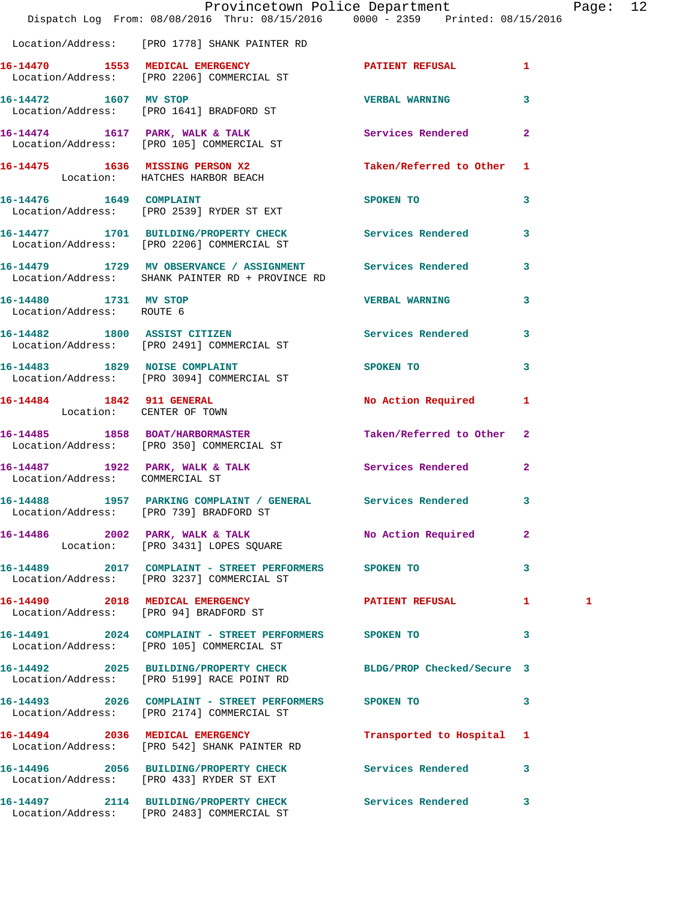|                                                    | Provincetown Police Department<br>Dispatch Log From: 08/08/2016 Thru: 08/15/2016 0000 - 2359 Printed: 08/15/2016 |                                                                                                                                                                                                                               |                         | Page: 12 |  |
|----------------------------------------------------|------------------------------------------------------------------------------------------------------------------|-------------------------------------------------------------------------------------------------------------------------------------------------------------------------------------------------------------------------------|-------------------------|----------|--|
|                                                    | Location/Address: [PRO 1778] SHANK PAINTER RD                                                                    |                                                                                                                                                                                                                               |                         |          |  |
|                                                    | 16-14470 1553 MEDICAL EMERGENCY 1 PATIENT REFUSAL 1<br>Location/Address: [PRO 2206] COMMERCIAL ST                |                                                                                                                                                                                                                               |                         |          |  |
| 16-14472 1607 MV STOP                              | Location/Address: [PRO 1641] BRADFORD ST                                                                         | VERBAL WARNING 3                                                                                                                                                                                                              |                         |          |  |
|                                                    | 16-14474 1617 PARK, WALK & TALK Services Rendered 2<br>Location/Address: [PRO 105] COMMERCIAL ST                 |                                                                                                                                                                                                                               |                         |          |  |
|                                                    | 16-14475 1636 MISSING PERSON X2 Taken/Referred to Other 1<br>Location: HATCHES HARBOR BEACH                      |                                                                                                                                                                                                                               |                         |          |  |
|                                                    | 16-14476 1649 COMPLAINT<br>Location/Address: [PRO 2539] RYDER ST EXT                                             | SPOKEN TO                                                                                                                                                                                                                     | 3                       |          |  |
|                                                    | 16-14477 1701 BUILDING/PROPERTY CHECK Services Rendered 3<br>Location/Address: [PRO 2206] COMMERCIAL ST          |                                                                                                                                                                                                                               |                         |          |  |
|                                                    | 16-14479 1729 MV OBSERVANCE / ASSIGNMENT Services Rendered 3<br>Location/Address: SHANK PAINTER RD + PROVINCE RD |                                                                                                                                                                                                                               |                         |          |  |
| 16-14480 1731 MV STOP<br>Location/Address: ROUTE 6 |                                                                                                                  | VERBAL WARNING 3                                                                                                                                                                                                              |                         |          |  |
|                                                    | 16-14482 1800 ASSIST CITIZEN<br>Location/Address: [PRO 2491] COMMERCIAL ST                                       | Services Rendered 3                                                                                                                                                                                                           |                         |          |  |
|                                                    | 16-14483 1829 NOISE COMPLAINT<br>Location/Address: [PRO 3094] COMMERCIAL ST                                      | SPOKEN TO THE STATE OF THE STATE OF THE STATE OF THE STATE OF THE STATE OF THE STATE OF THE STATE OF THE STATE OF THE STATE OF THE STATE OF THE STATE OF THE STATE OF THE STATE OF THE STATE OF THE STATE OF THE STATE OF THE | 3                       |          |  |
| Location: CENTER OF TOWN                           | 16-14484 1842 911 GENERAL                                                                                        | No Action Required 1                                                                                                                                                                                                          |                         |          |  |
|                                                    | 16-14485 1858 BOAT/HARBORMASTER<br>Location/Address: [PRO 350] COMMERCIAL ST                                     | Taken/Referred to Other 2                                                                                                                                                                                                     |                         |          |  |
| Location/Address: COMMERCIAL ST                    | 16-14487 1922 PARK, WALK & TALK 1988 Services Rendered 2                                                         |                                                                                                                                                                                                                               |                         |          |  |
|                                                    | 16-14488 1957 PARKING COMPLAINT / GENERAL Services Rendered<br>Location/Address: [PRO 739] BRADFORD ST           |                                                                                                                                                                                                                               | 3                       |          |  |
|                                                    | 16-14486 2002 PARK, WALK & TALK<br>Location: [PRO 3431] LOPES SQUARE                                             | No Action Required                                                                                                                                                                                                            | $\mathbf{2}$            |          |  |
|                                                    | 16-14489 2017 COMPLAINT - STREET PERFORMERS SPOKEN TO<br>Location/Address: [PRO 3237] COMMERCIAL ST              |                                                                                                                                                                                                                               | $\mathbf{3}$            |          |  |
|                                                    | 16-14490 2018 MEDICAL EMERGENCY<br>Location/Address: [PRO 94] BRADFORD ST                                        | PATIENT REFUSAL 1                                                                                                                                                                                                             |                         | 1        |  |
|                                                    | 16-14491 2024 COMPLAINT - STREET PERFORMERS SPOKEN TO<br>Location/Address: [PRO 105] COMMERCIAL ST               | $\sim$ 3                                                                                                                                                                                                                      |                         |          |  |
|                                                    | 16-14492 2025 BUILDING/PROPERTY CHECK BLDG/PROP Checked/Secure 3<br>Location/Address: [PRO 5199] RACE POINT RD   |                                                                                                                                                                                                                               |                         |          |  |
|                                                    | 16-14493 2026 COMPLAINT - STREET PERFORMERS SPOKEN TO<br>Location/Address: [PRO 2174] COMMERCIAL ST              |                                                                                                                                                                                                                               | $\overline{\mathbf{3}}$ |          |  |
|                                                    | 16-14494 2036 MEDICAL EMERGENCY Transported to Hospital 1<br>Location/Address: [PRO 542] SHANK PAINTER RD        |                                                                                                                                                                                                                               |                         |          |  |
|                                                    | 16-14496 2056 BUILDING/PROPERTY CHECK Services Rendered<br>Location/Address: [PRO 433] RYDER ST EXT              |                                                                                                                                                                                                                               | $\overline{\mathbf{3}}$ |          |  |
|                                                    | 16-14497 2114 BUILDING/PROPERTY CHECK Services Rendered 3<br>Location/Address: [PRO 2483] COMMERCIAL ST          |                                                                                                                                                                                                                               |                         |          |  |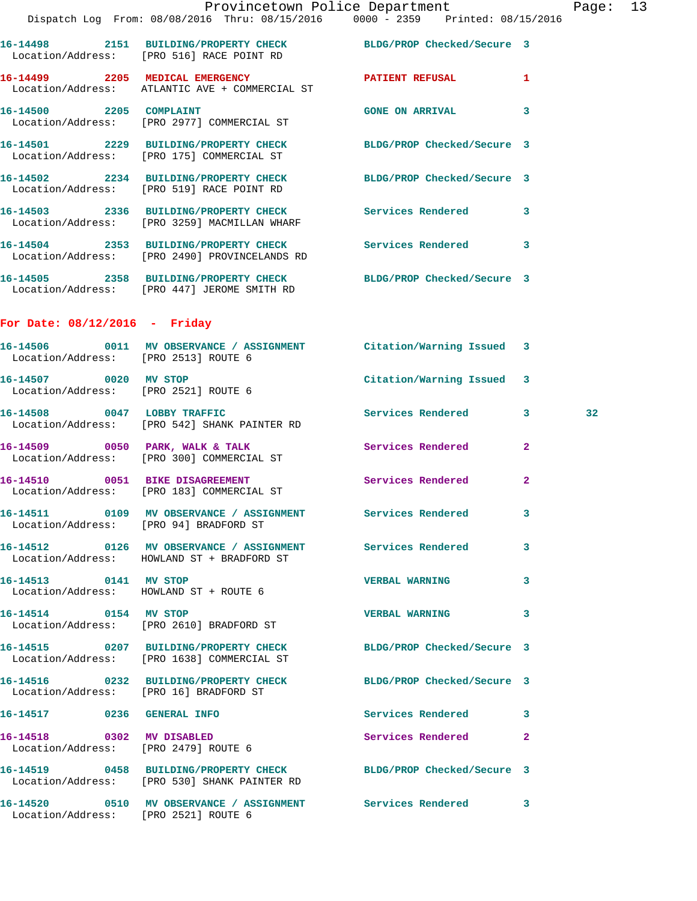|                                 |                                                                                                               | Provincetown Police Department | Page: 13 |  |
|---------------------------------|---------------------------------------------------------------------------------------------------------------|--------------------------------|----------|--|
|                                 | Dispatch Log From: 08/08/2016 Thru: 08/15/2016 0000 - 2359 Printed: 08/15/2016                                |                                |          |  |
|                                 | 16-14498 2151 BUILDING/PROPERTY CHECK BLDG/PROP Checked/Secure 3<br>Location/Address: [PRO 516] RACE POINT RD |                                |          |  |
| 16-14499 2205 MEDICAL EMERGENCY | Location/Address: ATLANTIC AVE + COMMERCIAL ST                                                                | <b>PATIENT REFUSAL</b>         | 1        |  |
| 16-14500 2205 COMPLAINT         | Location/Address: [PRO 2977] COMMERCIAL ST                                                                    | <b>GONE ON ARRIVAL</b>         |          |  |
|                                 | 16-14501  2229 BUILDING/PROPERTY CHECK<br>Location/Address: [PRO 175] COMMERCIAL ST                           | BLDG/PROP Checked/Secure 3     |          |  |
|                                 | Location/Address: [PRO 519] RACE POINT RD                                                                     | BLDG/PROP Checked/Secure 3     |          |  |
|                                 |                                                                                                               |                                |          |  |

 Location/Address: [PRO 3259] MACMILLAN WHARF **16-14504 2353 BUILDING/PROPERTY CHECK Services Rendered 3**  Location/Address: [PRO 2490] PROVINCELANDS RD **16-14505 2358 BUILDING/PROPERTY CHECK BLDG/PROP Checked/Secure 3** 

Location/Address: [PRO 447] JEROME SMITH RD

## **For Date: 08/12/2016 - Friday**

|                           | Location/Address: [PRO 2513] ROUTE 6                                                                             |                           |                |                 |
|---------------------------|------------------------------------------------------------------------------------------------------------------|---------------------------|----------------|-----------------|
| 16-14507 0020 MV STOP     | Location/Address: [PRO 2521] ROUTE 6                                                                             | Citation/Warning Issued 3 |                |                 |
|                           | 16-14508 0047 LOBBY TRAFFIC Services Rendered 3<br>Location/Address: [PRO 542] SHANK PAINTER RD                  |                           |                | 32 <sub>2</sub> |
|                           | 16-14509 0050 PARK, WALK & TALK 1988 Services Rendered<br>Location/Address: [PRO 300] COMMERCIAL ST              |                           | $\overline{2}$ |                 |
|                           | 16-14510 0051 BIKE DISAGREEMENT<br>Location/Address: [PRO 183] COMMERCIAL ST                                     | Services Rendered         | $\overline{2}$ |                 |
|                           | 16-14511 0109 MV OBSERVANCE / ASSIGNMENT Services Rendered<br>Location/Address: [PRO 94] BRADFORD ST             |                           | 3              |                 |
|                           | 16-14512 0126 MV OBSERVANCE / ASSIGNMENT Services Rendered<br>Location/Address: HOWLAND ST + BRADFORD ST         |                           | 3              |                 |
| 16-14513 0141 MV STOP     | Location/Address: HOWLAND ST + ROUTE 6                                                                           | <b>VERBAL WARNING</b>     | 3              |                 |
|                           | 16-14514 0154 MV STOP<br>Location/Address: [PRO 2610] BRADFORD ST                                                | <b>VERBAL WARNING</b>     | $\mathbf{3}$   |                 |
|                           | 16-14515 0207 BUILDING/PROPERTY CHECK BLDG/PROP Checked/Secure 3<br>Location/Address: [PRO 1638] COMMERCIAL ST   |                           |                |                 |
|                           | 16-14516 0232 BUILDING/PROPERTY CHECK BLDG/PROP Checked/Secure 3<br>Location/Address: [PRO 16] BRADFORD ST       |                           |                |                 |
|                           | 16-14517 0236 GENERAL INFO                                                                                       | Services Rendered 3       |                |                 |
| 16-14518 0302 MV DISABLED | Location/Address: [PRO 2479] ROUTE 6                                                                             | Services Rendered         | $\overline{2}$ |                 |
|                           | 16-14519 0458 BUILDING/PROPERTY CHECK BLDG/PROP Checked/Secure 3<br>Location/Address: [PRO 530] SHANK PAINTER RD |                           |                |                 |
|                           | 16-14520 0510 MV OBSERVANCE / ASSIGNMENT Services Rendered 3<br>Location/Address: [PRO 2521] ROUTE 6             |                           |                |                 |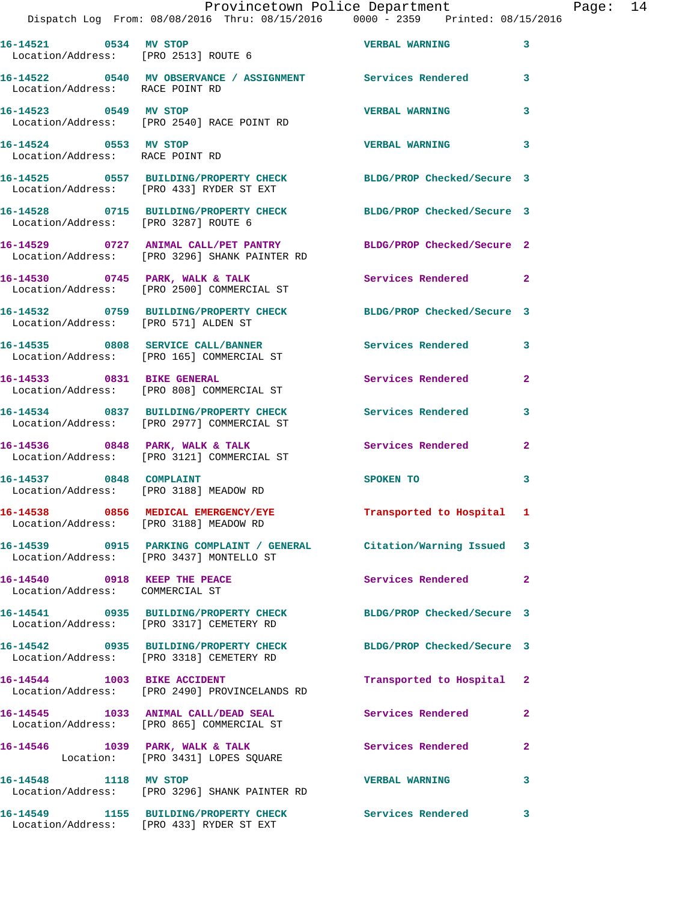|                                                                 | Dispatch Log From: 08/08/2016 Thru: 08/15/2016                0000 - 2359   Printed: 08/15/2016                  | Provincetown Police Department The Page: 14                                                                                                                                                                                   |                         |  |
|-----------------------------------------------------------------|------------------------------------------------------------------------------------------------------------------|-------------------------------------------------------------------------------------------------------------------------------------------------------------------------------------------------------------------------------|-------------------------|--|
|                                                                 | 16-14521 0534 MV STOP VERBAL WARNING 3<br>Location/Address: [PRO 2513] ROUTE 6                                   |                                                                                                                                                                                                                               |                         |  |
| Location/Address: RACE POINT RD                                 | 16-14522 0540 MV OBSERVANCE / ASSIGNMENT Services Rendered 3                                                     |                                                                                                                                                                                                                               |                         |  |
|                                                                 | 16-14523 0549 MV STOP<br>Location/Address: [PRO 2540] RACE POINT RD                                              | <b>VERBAL WARNING</b>                                                                                                                                                                                                         | 3                       |  |
| 16-14524 0553 MV STOP<br>Location/Address: RACE POINT RD        |                                                                                                                  | <b>VERBAL WARNING</b>                                                                                                                                                                                                         | $\overline{\mathbf{3}}$ |  |
|                                                                 | 16-14525 0557 BUILDING/PROPERTY CHECK BLDG/PROP Checked/Secure 3<br>Location/Address: [PRO 433] RYDER ST EXT     |                                                                                                                                                                                                                               |                         |  |
|                                                                 | 16-14528 0715 BUILDING/PROPERTY CHECK BLDG/PROP Checked/Secure 3<br>Location/Address: [PRO 3287] ROUTE 6         |                                                                                                                                                                                                                               |                         |  |
|                                                                 | 16-14529 0727 ANIMAL CALL/PET PANTRY BLDG/PROP Checked/Secure 2<br>Location/Address: [PRO 3296] SHANK PAINTER RD |                                                                                                                                                                                                                               |                         |  |
|                                                                 | 16-14530 0745 PARK, WALK & TALK 3 Services Rendered 2<br>Location/Address: [PRO 2500] COMMERCIAL ST              |                                                                                                                                                                                                                               |                         |  |
|                                                                 | 16-14532 0759 BUILDING/PROPERTY CHECK BLDG/PROP Checked/Secure 3<br>Location/Address: [PRO 571] ALDEN ST         |                                                                                                                                                                                                                               |                         |  |
|                                                                 | 16-14535 0808 SERVICE CALL/BANNER Services Rendered 3<br>Location/Address: [PRO 165] COMMERCIAL ST               |                                                                                                                                                                                                                               |                         |  |
|                                                                 | 16-14533 0831 BIKE GENERAL<br>Location/Address: [PRO 808] COMMERCIAL ST                                          | Services Rendered 2                                                                                                                                                                                                           |                         |  |
|                                                                 | 16-14534 0837 BUILDING/PROPERTY CHECK Services Rendered<br>Location/Address: [PRO 2977] COMMERCIAL ST            |                                                                                                                                                                                                                               | 3                       |  |
|                                                                 | 16-14536 0848 PARK, WALK & TALK 3 Services Rendered<br>Location/Address: [PRO 3121] COMMERCIAL ST                |                                                                                                                                                                                                                               | $\mathbf{2}$            |  |
|                                                                 | 16-14537 0848 COMPLAINT<br>Location/Address: [PRO 3188] MEADOW RD                                                | SPOKEN TO THE STATE OF THE STATE OF THE STATE OF THE STATE OF THE STATE OF THE STATE OF THE STATE OF THE STATE OF THE STATE OF THE STATE OF THE STATE OF THE STATE OF THE STATE OF THE STATE OF THE STATE OF THE STATE OF THE | $\overline{\mathbf{3}}$ |  |
|                                                                 | 16-14538 0856 MEDICAL EMERGENCY/EYE Transported to Hospital 1<br>Location/Address: [PRO 3188] MEADOW RD          |                                                                                                                                                                                                                               |                         |  |
|                                                                 | 16-14539 0915 PARKING COMPLAINT / GENERAL Citation/Warning Issued 3<br>Location/Address: [PRO 3437] MONTELLO ST  |                                                                                                                                                                                                                               |                         |  |
| 16-14540 0918 KEEP THE PEACE<br>Location/Address: COMMERCIAL ST |                                                                                                                  | Services Rendered 2                                                                                                                                                                                                           |                         |  |
|                                                                 | 16-14541 0935 BUILDING/PROPERTY CHECK BLDG/PROP Checked/Secure 3<br>Location/Address: [PRO 3317] CEMETERY RD     |                                                                                                                                                                                                                               |                         |  |
|                                                                 | 16-14542 0935 BUILDING/PROPERTY CHECK BLDG/PROP Checked/Secure 3<br>Location/Address: [PRO 3318] CEMETERY RD     |                                                                                                                                                                                                                               |                         |  |
|                                                                 | 16-14544 1003 BIKE ACCIDENT<br>Location/Address: [PRO 2490] PROVINCELANDS RD                                     | Transported to Hospital 2                                                                                                                                                                                                     |                         |  |
|                                                                 | 16-14545 1033 ANIMAL CALL/DEAD SEAL Services Rendered 2<br>Location/Address: [PRO 865] COMMERCIAL ST             |                                                                                                                                                                                                                               |                         |  |
|                                                                 | 16-14546 1039 PARK, WALK & TALK 1998 Services Rendered<br>Location: [PRO 3431] LOPES SQUARE                      |                                                                                                                                                                                                                               | $\mathbf{2}$            |  |
| 16-14548 1118 MV STOP                                           | Location/Address: [PRO 3296] SHANK PAINTER RD                                                                    | VERBAL WARNING 3                                                                                                                                                                                                              |                         |  |
|                                                                 | 16-14549 1155 BUILDING/PROPERTY CHECK Services Rendered 3                                                        |                                                                                                                                                                                                                               |                         |  |

Location/Address: [PRO 433] RYDER ST EXT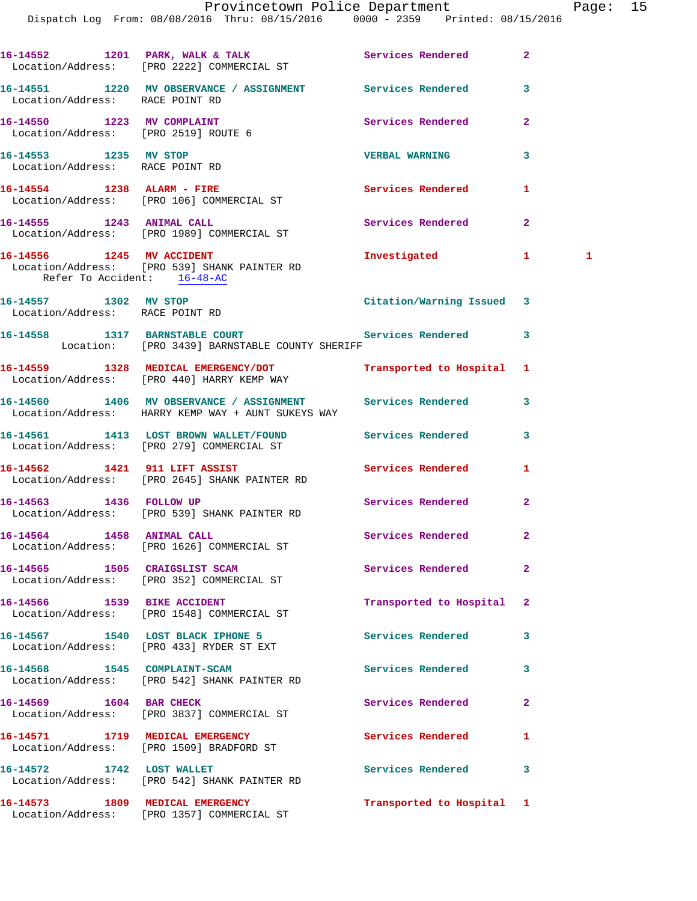|                                                          | Provincetown Police Department<br>Dispatch Log From: 08/08/2016 Thru: 08/15/2016 0000 - 2359 Printed: 08/15/2016 |                            |              | Page: 15     |  |
|----------------------------------------------------------|------------------------------------------------------------------------------------------------------------------|----------------------------|--------------|--------------|--|
|                                                          | 16-14552 1201 PARK, WALK & TALK (2008) Services Rendered 2<br>Location/Address: [PRO 2222] COMMERCIAL ST         |                            |              |              |  |
| Location/Address: RACE POINT RD                          | 16-14551 1220 MV OBSERVANCE / ASSIGNMENT Services Rendered 3                                                     |                            |              |              |  |
| 16-14550 1223 MV COMPLAINT                               | Location/Address: [PRO 2519] ROUTE 6                                                                             | Services Rendered 2        |              |              |  |
| 16-14553 1235 MV STOP<br>Location/Address: RACE POINT RD |                                                                                                                  | <b>VERBAL WARNING</b>      | $\mathbf{3}$ |              |  |
|                                                          | 16-14554 1238 ALARM - FIRE<br>Location/Address: [PRO 106] COMMERCIAL ST                                          | Services Rendered 1        |              |              |  |
|                                                          | 16-14555 1243 ANIMAL CALL<br>Location/Address: [PRO 1989] COMMERCIAL ST                                          | Services Rendered          | $\mathbf{2}$ |              |  |
|                                                          | 16-14556 1245 MV ACCIDENT<br>Location/Address: [PRO 539] SHANK PAINTER RD<br>Refer To Accident: 16-48-AC         | Investigated 1             |              | $\mathbf{1}$ |  |
| 16-14557 1302 MV STOP<br>Location/Address: RACE POINT RD |                                                                                                                  | Citation/Warning Issued 3  |              |              |  |
|                                                          | 16-14558 1317 BARNSTABLE COURT Services Rendered 3<br>Location: [PRO 3439] BARNSTABLE COUNTY SHERIFF             |                            |              |              |  |
|                                                          | 16-14559 1328 MEDICAL EMERGENCY/DOT<br>Location/Address: [PRO 440] HARRY KEMP WAY                                | Transported to Hospital 1  |              |              |  |
|                                                          | 16-14560 1406 MV OBSERVANCE / ASSIGNMENT Services Rendered<br>Location/Address: HARRY KEMP WAY + AUNT SUKEYS WAY |                            | $\mathbf{3}$ |              |  |
|                                                          | 16-14561 1413 LOST BROWN WALLET/FOUND Services Rendered 3<br>Location/Address: [PRO 279] COMMERCIAL ST           |                            |              |              |  |
|                                                          | 16-14562 1421 911 LIFT ASSIST<br>Location/Address: [PRO 2645] SHANK PAINTER RD                                   | Services Rendered          | 1            |              |  |
| 16-14563 1436 FOLLOW UP                                  | Location/Address: [PRO 539] SHANK PAINTER RD                                                                     | Services Rendered 2        |              |              |  |
| 16-14564 1458 ANIMAL CALL                                | Location/Address: [PRO 1626] COMMERCIAL ST                                                                       | Services Rendered          | $\mathbf{2}$ |              |  |
|                                                          | 16-14565 1505 CRAIGSLIST SCAM<br>Location/Address: [PRO 352] COMMERCIAL ST                                       | Services Rendered          | $\mathbf{2}$ |              |  |
|                                                          | 16-14566 1539 BIKE ACCIDENT<br>Location/Address: [PRO 1548] COMMERCIAL ST                                        | Transported to Hospital 2  |              |              |  |
|                                                          | 16-14567 1540 LOST BLACK IPHONE 5<br>Location/Address: [PRO 433] RYDER ST EXT                                    | Services Rendered          | 3            |              |  |
|                                                          | 16-14568 1545 COMPLAINT-SCAM<br>Location/Address: [PRO 542] SHANK PAINTER RD                                     | Services Rendered          | 3            |              |  |
|                                                          | 16-14569 1604 BAR CHECK<br>Location/Address: [PRO 3837] COMMERCIAL ST                                            | Services Rendered 2        |              |              |  |
|                                                          | 16-14571 1719 MEDICAL EMERGENCY<br>Location/Address: [PRO 1509] BRADFORD ST                                      | Services Rendered          | $\mathbf{1}$ |              |  |
|                                                          | 16-14572 1742 LOST WALLET<br>Location/Address: [PRO 542] SHANK PAINTER RD                                        | <b>Services Rendered</b> 3 |              |              |  |
|                                                          | 16-14573 1809 MEDICAL EMERGENCY<br>Location/Address: [PRO 1357] COMMERCIAL ST                                    | Transported to Hospital 1  |              |              |  |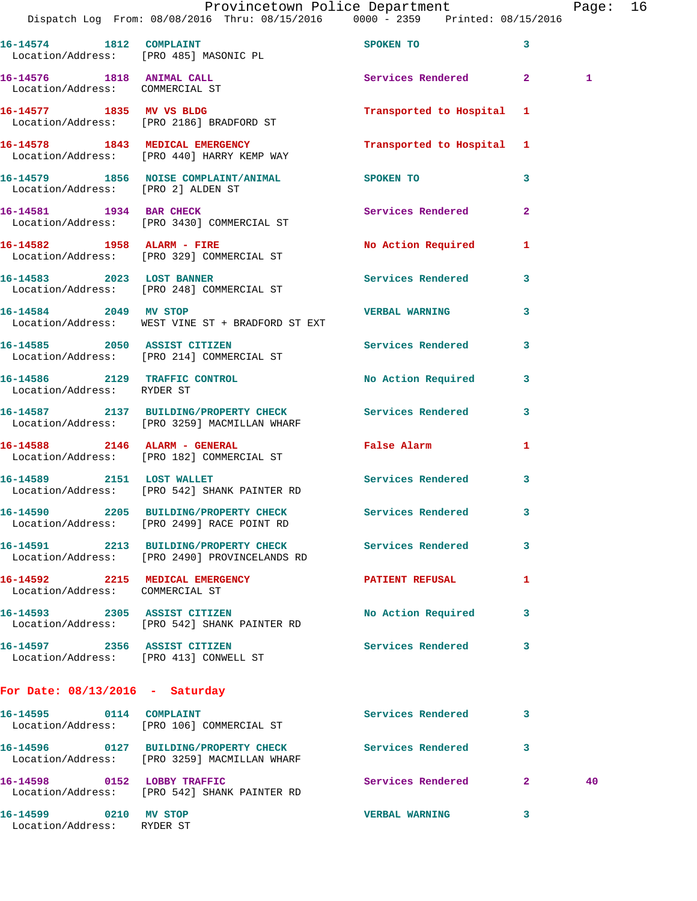|                                                                    | Dispatch Log From: 08/08/2016 Thru: 08/15/2016 0000 - 2359 Printed: 08/15/2016                           | Provincetown Police Department                                                                                                                                                                                                |                         | Page: 16     |  |
|--------------------------------------------------------------------|----------------------------------------------------------------------------------------------------------|-------------------------------------------------------------------------------------------------------------------------------------------------------------------------------------------------------------------------------|-------------------------|--------------|--|
| Location/Address: [PRO 485] MASONIC PL                             | 16-14574 1812 COMPLAINT                                                                                  | SPOKEN TO THE STATE OF THE STATE OF THE STATE OF THE STATE OF THE STATE OF THE STATE OF THE STATE OF THE STATE OF THE STATE OF THE STATE OF THE STATE OF THE STATE OF THE STATE OF THE STATE OF THE STATE OF THE STATE OF THE | 3                       |              |  |
| Location/Address: COMMERCIAL ST                                    | 16-14576 1818 ANIMAL CALL                                                                                | Services Rendered 2                                                                                                                                                                                                           |                         | $\mathbf{1}$ |  |
|                                                                    | 16-14577 1835 MV VS BLDG<br>Location/Address: [PRO 2186] BRADFORD ST                                     | Transported to Hospital 1                                                                                                                                                                                                     |                         |              |  |
|                                                                    | 16-14578 1843 MEDICAL EMERGENCY<br>Location/Address: [PRO 440] HARRY KEMP WAY                            | Transported to Hospital 1                                                                                                                                                                                                     |                         |              |  |
|                                                                    | 16-14579 1856 NOISE COMPLAINT/ANIMAL SPOKEN TO<br>Location/Address: [PRO 2] ALDEN ST                     |                                                                                                                                                                                                                               | 3                       |              |  |
|                                                                    | 16-14581 1934 BAR CHECK<br>Location/Address: [PRO 3430] COMMERCIAL ST                                    | Services Rendered                                                                                                                                                                                                             | $\overline{2}$          |              |  |
|                                                                    | 16-14582 1958 ALARM - FIRE<br>Location/Address: [PRO 329] COMMERCIAL ST                                  | No Action Required 1                                                                                                                                                                                                          |                         |              |  |
|                                                                    | 16-14583 2023 LOST BANNER<br>Location/Address: [PRO 248] COMMERCIAL ST                                   | Services Rendered                                                                                                                                                                                                             | $\overline{\mathbf{3}}$ |              |  |
| 16-14584 2049 MV STOP                                              | Location/Address: WEST VINE ST + BRADFORD ST EXT                                                         | VERBAL WARNING 3                                                                                                                                                                                                              |                         |              |  |
|                                                                    | 16-14585 2050 ASSIST CITIZEN<br>Location/Address: [PRO 214] COMMERCIAL ST                                | Services Rendered                                                                                                                                                                                                             | 3                       |              |  |
| Location/Address: RYDER ST                                         | 16-14586 2129 TRAFFIC CONTROL                                                                            | No Action Required 3                                                                                                                                                                                                          |                         |              |  |
|                                                                    | 16-14587 2137 BUILDING/PROPERTY CHECK Services Rendered<br>Location/Address: [PRO 3259] MACMILLAN WHARF  |                                                                                                                                                                                                                               | 3                       |              |  |
|                                                                    | 16-14588 2146 ALARM - GENERAL<br>Location/Address: [PRO 182] COMMERCIAL ST                               | False Alarm and the state of the state of the state of the state of the state of the state of the state of the                                                                                                                | -1                      |              |  |
|                                                                    | 16-14589 2151 LOST WALLET<br>Location/Address: [PRO 542] SHANK PAINTER RD                                | Services Rendered 3                                                                                                                                                                                                           |                         |              |  |
|                                                                    | 16-14590 2205 BUILDING/PROPERTY CHECK<br>Location/Address: [PRO 2499] RACE POINT RD                      | <b>Services Rendered</b>                                                                                                                                                                                                      |                         |              |  |
|                                                                    | 16-14591 2213 BUILDING/PROPERTY CHECK Services Rendered<br>Location/Address: [PRO 2490] PROVINCELANDS RD |                                                                                                                                                                                                                               | 3                       |              |  |
| 16-14592 2215 MEDICAL EMERGENCY<br>Location/Address: COMMERCIAL ST |                                                                                                          | <b>PATIENT REFUSAL</b>                                                                                                                                                                                                        | -1                      |              |  |
|                                                                    | 16-14593 2305 ASSIST CITIZEN<br>Location/Address: [PRO 542] SHANK PAINTER RD                             | No Action Required                                                                                                                                                                                                            | 3                       |              |  |
| 16-14597 2356 ASSIST CITIZEN                                       | Location/Address: [PRO 413] CONWELL ST                                                                   | Services Rendered 3                                                                                                                                                                                                           |                         |              |  |
| For Date: $08/13/2016$ - Saturday                                  |                                                                                                          |                                                                                                                                                                                                                               |                         |              |  |
| 16-14595 0114 COMPLAINT                                            | Location/Address: [PRO 106] COMMERCIAL ST                                                                | Services Rendered 3                                                                                                                                                                                                           |                         |              |  |
|                                                                    | 16-14596 0127 BUILDING/PROPERTY CHECK<br>Location/Address: [PRO 3259] MACMILLAN WHARF                    | Services Rendered                                                                                                                                                                                                             | 3                       |              |  |
| 16-14598 0152 LOBBY TRAFFIC                                        | Location/Address: [PRO 542] SHANK PAINTER RD                                                             | Services Rendered 2                                                                                                                                                                                                           |                         | 40           |  |
| 16-14599 0210 MV STOP<br>Location/Address: RYDER ST                |                                                                                                          | <b>VERBAL WARNING</b>                                                                                                                                                                                                         | 3                       |              |  |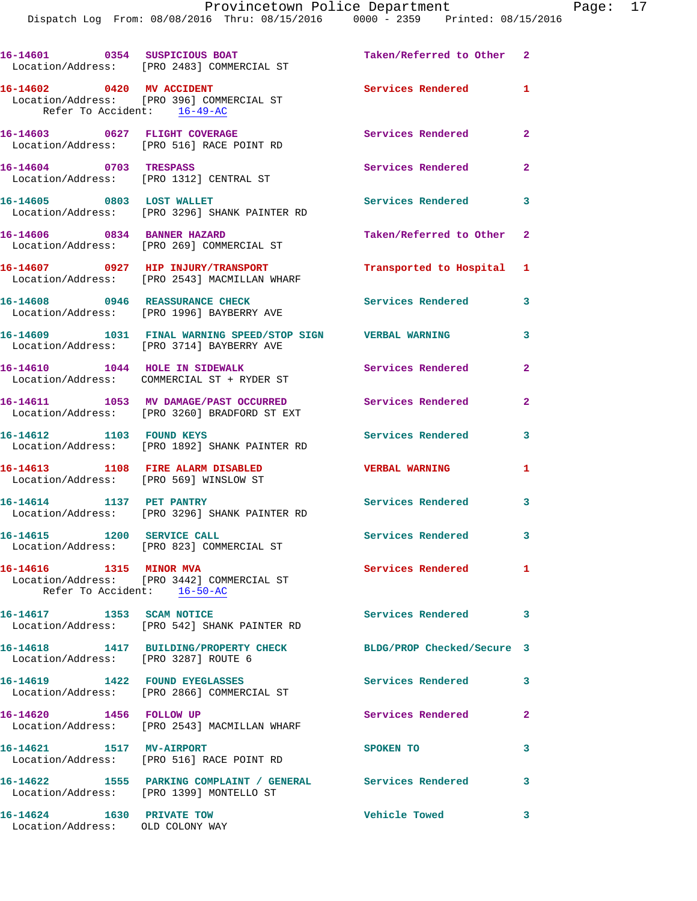Dispatch Log From: 08/08/2016 Thru: 08/15/2016 0000 - 2359 Printed: 08/15/2016

|                                                                             | 16-14601 0354 SUSPICIOUS BOAT<br>Location/Address: [PRO 2483] COMMERCIAL ST                             | Taken/Referred to Other 2  |                            |
|-----------------------------------------------------------------------------|---------------------------------------------------------------------------------------------------------|----------------------------|----------------------------|
| 16-14602 0420 MV ACCIDENT<br>Refer To Accident: 16-49-AC                    | Location/Address: [PRO 396] COMMERCIAL ST                                                               | Services Rendered          | 1                          |
|                                                                             | 16-14603 0627 FLIGHT COVERAGE<br>Location/Address: [PRO 516] RACE POINT RD                              | Services Rendered          | $\mathbf{2}$               |
| 16-14604 0703 TRESPASS                                                      | Location/Address: [PRO 1312] CENTRAL ST                                                                 | Services Rendered          | $\mathbf{2}$               |
| 16-14605 0803 LOST WALLET                                                   | Location/Address: [PRO 3296] SHANK PAINTER RD                                                           | <b>Services Rendered</b> 3 |                            |
| 16-14606 0834 BANNER HAZARD                                                 | Location/Address: [PRO 269] COMMERCIAL ST                                                               | Taken/Referred to Other 2  |                            |
|                                                                             | 16-14607 0927 HIP INJURY/TRANSPORT<br>Location/Address: [PRO 2543] MACMILLAN WHARF                      | Transported to Hospital 1  |                            |
|                                                                             | 16-14608 0946 REASSURANCE CHECK<br>Location/Address: [PRO 1996] BAYBERRY AVE                            | <b>Services Rendered</b>   | 3                          |
|                                                                             | 16-14609 1031 FINAL WARNING SPEED/STOP SIGN VERBAL WARNING<br>Location/Address: [PRO 3714] BAYBERRY AVE |                            | 3                          |
|                                                                             | 16-14610 1044 HOLE IN SIDEWALK<br>Location/Address: COMMERCIAL ST + RYDER ST                            | Services Rendered          | $\overline{a}$             |
|                                                                             | 16-14611 1053 MV DAMAGE/PAST OCCURRED<br>Location/Address: [PRO 3260] BRADFORD ST EXT                   | Services Rendered          | $\mathbf{2}$               |
| 16-14612 1103 FOUND KEYS                                                    | Location/Address: [PRO 1892] SHANK PAINTER RD                                                           | Services Rendered          | 3                          |
| 16-14613 1108 FIRE ALARM DISABLED<br>Location/Address: [PRO 569] WINSLOW ST |                                                                                                         | <b>VERBAL WARNING</b>      | 1                          |
| 16-14614 1137 PET PANTRY                                                    | Location/Address: [PRO 3296] SHANK PAINTER RD                                                           | Services Rendered 3        |                            |
| 16-14615 1200 SERVICE CALL                                                  | Location/Address: [PRO 823] COMMERCIAL ST                                                               | Services Rendered 3        |                            |
| 16-14616 1315 MINOR MVA<br>Refer To Accident: 16-50-AC                      | Location/Address: [PRO 3442] COMMERCIAL ST                                                              | Services Rendered          | 1                          |
| 16-14617 1353 SCAM NOTICE                                                   | Location/Address: [PRO 542] SHANK PAINTER RD                                                            | Services Rendered          | $\overline{\phantom{a}}$ 3 |
| Location/Address: [PRO 3287] ROUTE 6                                        | 16-14618 1417 BUILDING/PROPERTY CHECK                                                                   | BLDG/PROP Checked/Secure 3 |                            |
|                                                                             | 16-14619 1422 FOUND EYEGLASSES<br>Location/Address: [PRO 2866] COMMERCIAL ST                            | <b>Services Rendered</b>   | 3                          |
| 16-14620 1456 FOLLOW UP                                                     | Location/Address: [PRO 2543] MACMILLAN WHARF                                                            | Services Rendered          | $\mathbf{2}$               |
| 16-14621 1517 MV-AIRPORT                                                    | Location/Address: [PRO 516] RACE POINT RD                                                               | SPOKEN TO                  | 3                          |
|                                                                             | 16-14622 1555 PARKING COMPLAINT / GENERAL Services Rendered<br>Location/Address: [PRO 1399] MONTELLO ST |                            | 3                          |
| 16-14624 1630 PRIVATE TOW<br>Location/Address: OLD COLONY WAY               |                                                                                                         | <b>Vehicle Towed</b>       | 3                          |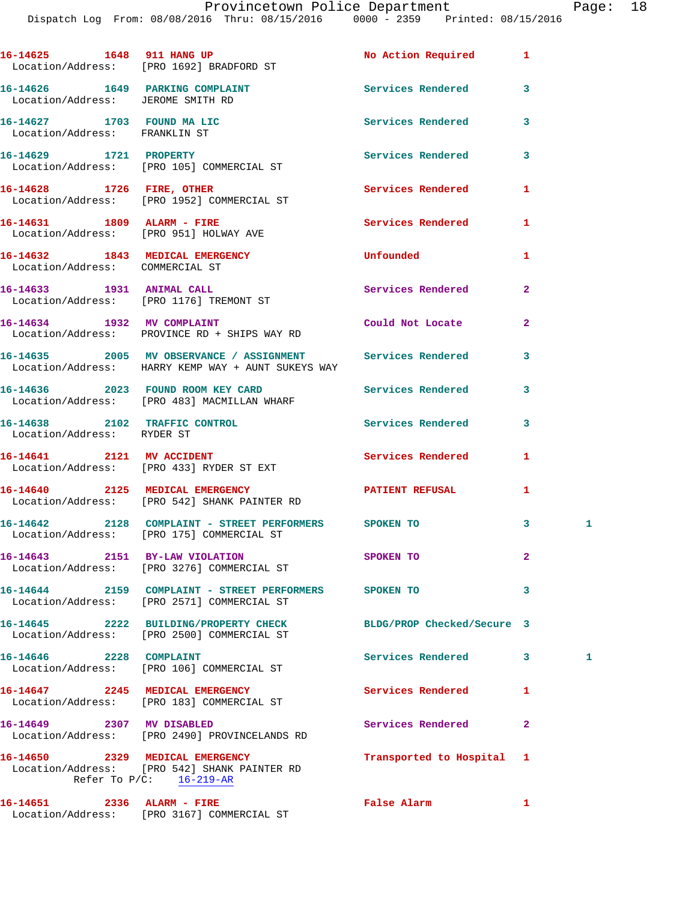Dispatch Log From: 08/08/2016 Thru: 08/15/2016 0000 - 2359 Printed: 08/15/2016

| 16-14625 1648 911 HANG UP                                          | Location/Address: [PRO 1692] BRADFORD ST                                                                         | No Action Required         | 1            |   |
|--------------------------------------------------------------------|------------------------------------------------------------------------------------------------------------------|----------------------------|--------------|---|
| Location/Address: JEROME SMITH RD                                  | 16-14626 1649 PARKING COMPLAINT                                                                                  | Services Rendered          | 3            |   |
| 16-14627 1703 FOUND MA LIC<br>Location/Address: FRANKLIN ST        |                                                                                                                  | <b>Services Rendered</b>   | 3            |   |
| 16-14629 1721 PROPERTY                                             | Location/Address: [PRO 105] COMMERCIAL ST                                                                        | Services Rendered          | 3            |   |
|                                                                    | 16-14628 1726 FIRE, OTHER<br>Location/Address: [PRO 1952] COMMERCIAL ST                                          | Services Rendered          | 1            |   |
| 16-14631 1809 ALARM - FIRE                                         | Location/Address: [PRO 951] HOLWAY AVE                                                                           | Services Rendered          | 1            |   |
| 16-14632 1843 MEDICAL EMERGENCY<br>Location/Address: COMMERCIAL ST |                                                                                                                  | Unfounded                  | 1            |   |
|                                                                    | 16-14633 1931 ANIMAL CALL<br>Location/Address: [PRO 1176] TREMONT ST                                             | Services Rendered          | $\mathbf{2}$ |   |
|                                                                    | 16-14634 1932 MV COMPLAINT<br>Location/Address: PROVINCE RD + SHIPS WAY RD                                       | Could Not Locate           | $\mathbf{2}$ |   |
|                                                                    | 16-14635 2005 MV OBSERVANCE / ASSIGNMENT Services Rendered<br>Location/Address: HARRY KEMP WAY + AUNT SUKEYS WAY |                            | 3            |   |
|                                                                    | 16-14636 2023 FOUND ROOM KEY CARD Services Rendered<br>Location/Address: [PRO 483] MACMILLAN WHARF               |                            | 3            |   |
| Location/Address: RYDER ST                                         | 16-14638 2102 TRAFFIC CONTROL                                                                                    | Services Rendered          | 3            |   |
|                                                                    | 16-14641 2121 MV ACCIDENT<br>Location/Address: [PRO 433] RYDER ST EXT                                            | Services Rendered          | 1            |   |
|                                                                    | 16-14640 2125 MEDICAL EMERGENCY<br>Location/Address: [PRO 542] SHANK PAINTER RD                                  | PATIENT REFUSAL            | 1            |   |
|                                                                    | 16-14642 2128 COMPLAINT - STREET PERFORMERS SPOKEN TO<br>Location/Address: [PRO 175] COMMERCIAL ST               |                            | 3            | 1 |
| 16-14643 2151 BY-LAW VIOLATION                                     | Location/Address: [PRO 3276] COMMERCIAL ST                                                                       | SPOKEN TO                  |              |   |
|                                                                    | 16-14644 2159 COMPLAINT - STREET PERFORMERS<br>Location/Address: [PRO 2571] COMMERCIAL ST                        | SPOKEN TO                  | 3            |   |
|                                                                    | 16-14645 2222 BUILDING/PROPERTY CHECK<br>Location/Address: [PRO 2500] COMMERCIAL ST                              | BLDG/PROP Checked/Secure 3 |              |   |
| 16-14646 2228 COMPLAINT                                            | Location/Address: [PRO 106] COMMERCIAL ST                                                                        | Services Rendered          | 3            | 1 |
|                                                                    | 16-14647 2245 MEDICAL EMERGENCY<br>Location/Address: [PRO 183] COMMERCIAL ST                                     | Services Rendered          | 1            |   |
| 16-14649 2307 MV DISABLED                                          | Location/Address: [PRO 2490] PROVINCELANDS RD                                                                    | Services Rendered          | $\mathbf{2}$ |   |
| 16-14650 2329 MEDICAL EMERGENCY                                    | Location/Address: [PRO 542] SHANK PAINTER RD<br>Refer To $P/C$ : 16-219-AR                                       | Transported to Hospital    | 1            |   |
|                                                                    | 16-14651 2336 ALARM - FIRE<br>Location/Address: [PRO 3167] COMMERCIAL ST                                         | False Alarm                | 1            |   |
|                                                                    |                                                                                                                  |                            |              |   |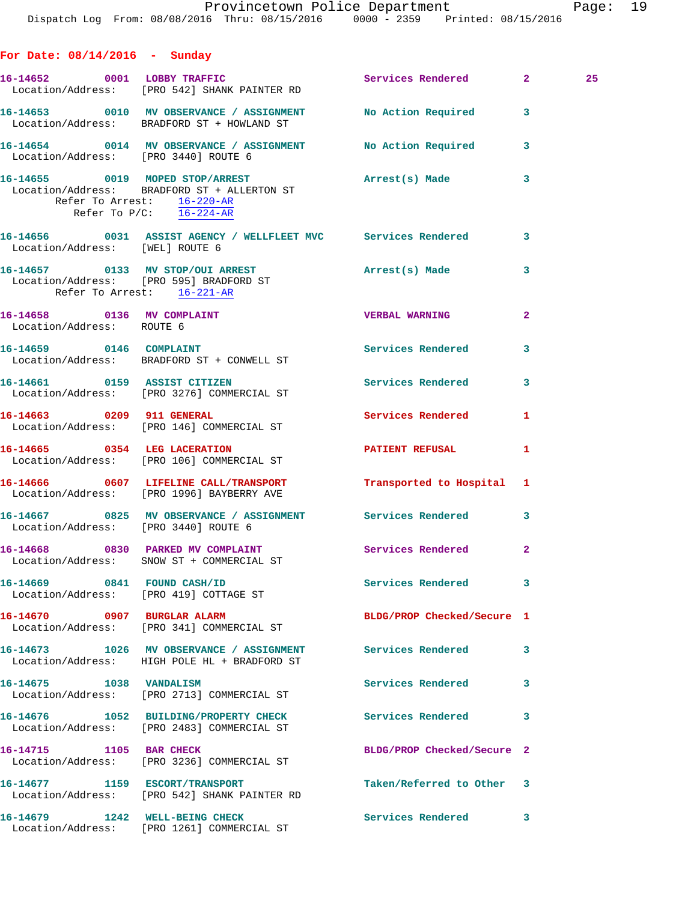**For Date: 08/14/2016 - Sunday 16-14652 0001 LOBBY TRAFFIC Services Rendered 2 25**  Location/Address: [PRO 542] SHANK PAINTER RD **16-14653 0010 MV OBSERVANCE / ASSIGNMENT No Action Required 3**  Location/Address: BRADFORD ST + HOWLAND ST **16-14654 0014 MV OBSERVANCE / ASSIGNMENT No Action Required 3**  Location/Address: [PRO 3440] ROUTE 6 **16-14655 0019 MOPED STOP/ARREST Arrest(s) Made 3**  Location/Address: BRADFORD ST + ALLERTON ST Refer To Arrest: 16-220-AR Refer To P/C: 16-224-AR **16-14656 0031 ASSIST AGENCY / WELLFLEET MVC Services Rendered 3**  Location/Address: [WEL] ROUTE 6 **16-14657 0133 MV STOP/OUI ARREST Arrest(s) Made 3**  Location/Address: [PRO 595] BRADFORD ST Refer To Arrest: 16-221-AR **16-14658 0136 MV COMPLAINT VERBAL WARNING 2**  Location/Address: ROUTE 6 16-14659 0146 COMPLAINT Services Rendered 3 Location/Address: BRADFORD ST + CONWELL ST **16-14661 0159 ASSIST CITIZEN Services Rendered 3**  Location/Address: [PRO 3276] COMMERCIAL ST 16-14663 0209 911 GENERAL Services Rendered 1 Location/Address: [PRO 146] COMMERCIAL ST **16-14665 0354 LEG LACERATION PATIENT REFUSAL 1**  Location/Address: [PRO 106] COMMERCIAL ST **16-14666 0607 LIFELINE CALL/TRANSPORT Transported to Hospital 1**  Location/Address: [PRO 1996] BAYBERRY AVE **16-14667 0825 MV OBSERVANCE / ASSIGNMENT Services Rendered 3**  Location/Address: [PRO 3440] ROUTE 6 **16-14668 0830 PARKED MV COMPLAINT Services Rendered 2**  Location/Address: SNOW ST + COMMERCIAL ST 16-14669 0841 FOUND CASH/ID Services Rendered 3 Location/Address: [PRO 419] COTTAGE ST **16-14670 0907 BURGLAR ALARM BLDG/PROP Checked/Secure 1**  Location/Address: [PRO 341] COMMERCIAL ST **16-14673 1026 MV OBSERVANCE / ASSIGNMENT Services Rendered 3**  Location/Address: HIGH POLE HL + BRADFORD ST **16-14675 1038 VANDALISM Services Rendered 3**  Location/Address: [PRO 2713] COMMERCIAL ST **16-14676 1052 BUILDING/PROPERTY CHECK Services Rendered 3**  Location/Address: [PRO 2483] COMMERCIAL ST **16-14715 1105 BAR CHECK BLDG/PROP Checked/Secure 2**  Location/Address: [PRO 3236] COMMERCIAL ST **16-14677 1159 ESCORT/TRANSPORT Taken/Referred to Other 3**  Location/Address: [PRO 542] SHANK PAINTER RD

**16-14679 1242 WELL-BEING CHECK Services Rendered 3**  Location/Address: [PRO 1261] COMMERCIAL ST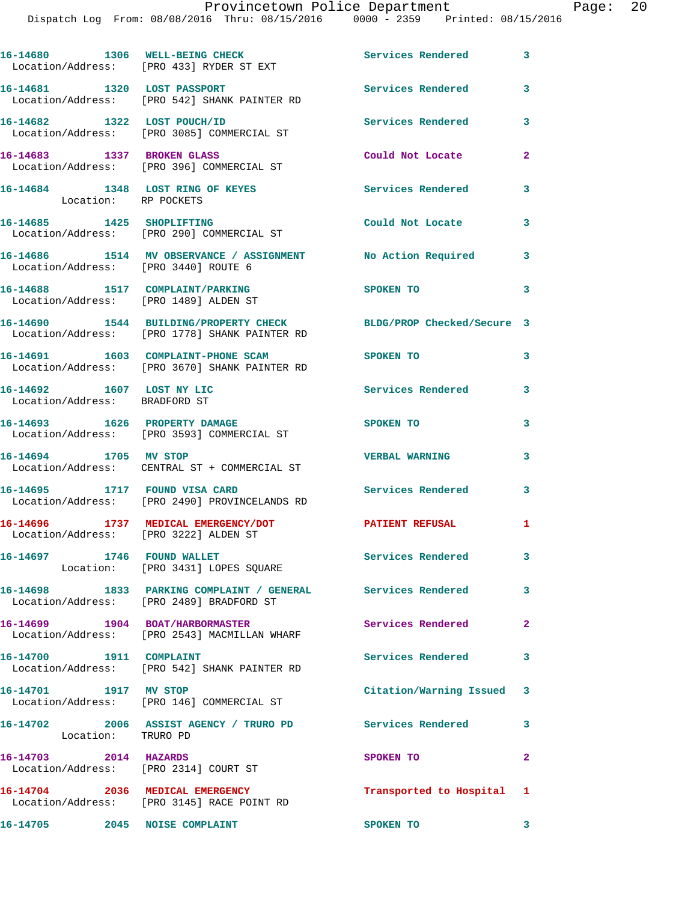|                                                                          | 16-14680 1306 WELL-BEING CHECK<br>Location/Address: [PRO 433] RYDER ST EXT                              | <b>Services Rendered</b>   | $\mathbf{3}$            |
|--------------------------------------------------------------------------|---------------------------------------------------------------------------------------------------------|----------------------------|-------------------------|
| 16-14681 1320 LOST PASSPORT                                              | Location/Address: [PRO 542] SHANK PAINTER RD                                                            | Services Rendered          | 3                       |
|                                                                          | 16-14682 1322 LOST POUCH/ID<br>Location/Address: [PRO 3085] COMMERCIAL ST                               | <b>Services Rendered</b>   | 3                       |
| 16-14683 1337 BROKEN GLASS                                               | Location/Address: [PRO 396] COMMERCIAL ST                                                               | Could Not Locate           | $\mathbf{2}$            |
| 16-14684 1348 LOST RING OF KEYES<br>Location: RP POCKETS                 |                                                                                                         | <b>Services Rendered</b>   | $\mathbf{3}$            |
| 16-14685 1425 SHOPLIFTING                                                | Location/Address: [PRO 290] COMMERCIAL ST                                                               | Could Not Locate 3         |                         |
| Location/Address: [PRO 3440] ROUTE 6                                     | 16-14686 1514 MV OBSERVANCE / ASSIGNMENT No Action Required                                             |                            | 3                       |
| 16-14688 1517 COMPLAINT/PARKING<br>Location/Address: [PRO 1489] ALDEN ST |                                                                                                         | SPOKEN TO                  | 3                       |
|                                                                          | 16-14690 1544 BUILDING/PROPERTY CHECK<br>Location/Address: [PRO 1778] SHANK PAINTER RD                  | BLDG/PROP Checked/Secure 3 |                         |
| 16-14691 1603 COMPLAINT-PHONE SCAM                                       | Location/Address: [PRO 3670] SHANK PAINTER RD                                                           | SPOKEN TO                  | 3                       |
| 16-14692 1607 LOST NY LIC<br>Location/Address: BRADFORD ST               |                                                                                                         | <b>Services Rendered</b>   | 3                       |
| 16-14693 1626 PROPERTY DAMAGE                                            | Location/Address: [PRO 3593] COMMERCIAL ST                                                              | SPOKEN TO                  | 3                       |
| 16-14694 1705 MV STOP                                                    | Location/Address: CENTRAL ST + COMMERCIAL ST                                                            | <b>VERBAL WARNING</b>      | 3                       |
| 16-14695 1717 FOUND VISA CARD                                            | Location/Address: [PRO 2490] PROVINCELANDS RD                                                           | <b>Services Rendered</b>   | $\overline{\mathbf{3}}$ |
| Location/Address: [PRO 3222] ALDEN ST                                    | 16-14696 1737 MEDICAL EMERGENCY/DOT                                                                     | <b>PATIENT REFUSAL</b>     | 1                       |
| 16-14697 1746 FOUND WALLET                                               | Location: [PRO 3431] LOPES SQUARE                                                                       | Services Rendered          | $\mathbf{3}$            |
|                                                                          | 16-14698 1833 PARKING COMPLAINT / GENERAL Services Rendered<br>Location/Address: [PRO 2489] BRADFORD ST |                            | $\mathbf{3}$            |
|                                                                          | 16-14699 1904 BOAT/HARBORMASTER<br>Location/Address: [PRO 2543] MACMILLAN WHARF                         | Services Rendered 2        |                         |
| 16-14700 1911 COMPLAINT                                                  | Location/Address: [PRO 542] SHANK PAINTER RD                                                            | Services Rendered          | $\overline{\mathbf{3}}$ |
| 16-14701 1917 MV STOP                                                    | Location/Address: [PRO 146] COMMERCIAL ST                                                               | Citation/Warning Issued 3  |                         |
| Location: TRURO PD                                                       | 16-14702 2006 ASSIST AGENCY / TRURO PD Services Rendered                                                |                            | 3                       |
| 16-14703 2014 HAZARDS<br>Location/Address: [PRO 2314] COURT ST           |                                                                                                         | SPOKEN TO                  | $\mathbf{2}$            |
|                                                                          | 16-14704 2036 MEDICAL EMERGENCY                                                                         | Transported to Hospital 1  |                         |
| 16-14705 2045 NOISE COMPLAINT                                            | Location/Address: [PRO 3145] RACE POINT RD                                                              | SPOKEN TO                  | $\overline{\mathbf{3}}$ |
|                                                                          |                                                                                                         |                            |                         |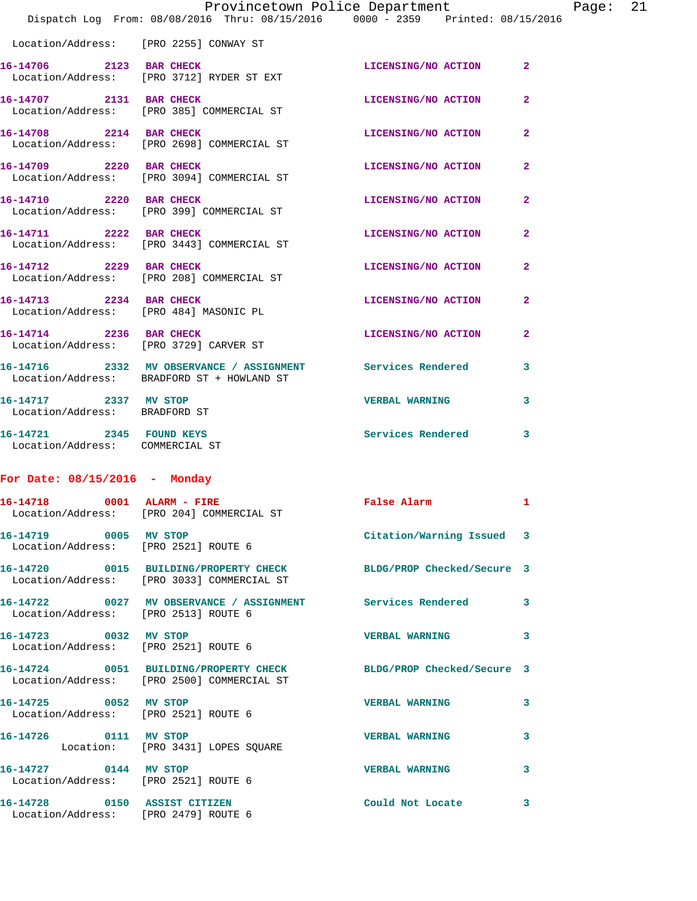|                                                               | Provincetown Police Department                                                                           |                            |                |
|---------------------------------------------------------------|----------------------------------------------------------------------------------------------------------|----------------------------|----------------|
|                                                               | Dispatch Log From: 08/08/2016 Thru: 08/15/2016 0000 - 2359 Printed: 08/15/2016                           |                            |                |
|                                                               | Location/Address: [PRO 2255] CONWAY ST                                                                   |                            |                |
|                                                               | 16-14706 2123 BAR CHECK<br>Location/Address: [PRO 3712] RYDER ST EXT                                     | LICENSING/NO ACTION        | $\mathbf{2}$   |
| 16-14707 2131 BAR CHECK                                       | Location/Address: [PRO 385] COMMERCIAL ST                                                                | LICENSING/NO ACTION        | $\overline{2}$ |
| 16-14708 2214 BAR CHECK                                       | Location/Address: [PRO 2698] COMMERCIAL ST                                                               | LICENSING/NO ACTION        | $\overline{2}$ |
| 16-14709 2220 BAR CHECK                                       | Location/Address: [PRO 3094] COMMERCIAL ST                                                               | <b>LICENSING/NO ACTION</b> | $\mathbf{2}$   |
| 16-14710 2220 BAR CHECK                                       | Location/Address: [PRO 399] COMMERCIAL ST                                                                | LICENSING/NO ACTION        | $\mathbf{2}$   |
|                                                               | 16-14711 2222 BAR CHECK<br>Location/Address: [PRO 3443] COMMERCIAL ST                                    | LICENSING/NO ACTION        | $\mathbf{2}$   |
| 16-14712 2229 BAR CHECK                                       | Location/Address: [PRO 208] COMMERCIAL ST                                                                | LICENSING/NO ACTION        | $\mathbf{2}$   |
| 16-14713 2234 BAR CHECK                                       | Location/Address: [PRO 484] MASONIC PL                                                                   | LICENSING/NO ACTION        | $\mathbf{2}$   |
| 16-14714 2236 BAR CHECK                                       | Location/Address: [PRO 3729] CARVER ST                                                                   | LICENSING/NO ACTION        | $\overline{2}$ |
|                                                               | 16-14716 2332 MV OBSERVANCE / ASSIGNMENT Services Rendered<br>Location/Address: BRADFORD ST + HOWLAND ST |                            | 3              |
| 16-14717 2337 MV STOP<br>Location/Address: BRADFORD ST        |                                                                                                          | <b>VERBAL WARNING</b>      | 3              |
| 16-14721 2345 FOUND KEYS<br>Location/Address: COMMERCIAL ST   |                                                                                                          | Services Rendered          | 3              |
| For Date: $08/15/2016$ - Monday                               |                                                                                                          |                            |                |
| 16-14718 0001 ALARM - FIRE                                    | Location/Address: [PRO 204] COMMERCIAL ST                                                                | False Alarm                | ı.             |
| 16-14719 0005 MV STOP<br>Location/Address: [PRO 2521] ROUTE 6 |                                                                                                          | Citation/Warning Issued    | 3              |
|                                                               | Location/Address: [PRO 3033] COMMERCIAL ST                                                               | BLDG/PROP Checked/Secure 3 |                |
| Location/Address: [PRO 2513] ROUTE 6                          |                                                                                                          |                            | 3              |
| 16-14723 0032 MV STOP<br>Location/Address: [PRO 2521] ROUTE 6 |                                                                                                          | <b>VERBAL WARNING</b>      | 3              |

| 16-14724          | 0051 |
|-------------------|------|
| Location/Address: |      |

**16-14725 0052 MV STOP VERBAL WARNING 3** 

Location: [PRO 3431] LOPES SQUARE

Location/Address: [PRO 2521] ROUTE 6

Location/Address: [PRO 2479] ROUTE 6

[PRO 2500] COMMERCIAL ST

Location/Address: [PRO 2521] ROUTE 6

**16-14724 0051 BUILDING/PROPERTY CHECK BLDG/PROP Checked/Secure 3** 

**16-14726 0111 MV STOP VERBAL WARNING 3** 

**16-14727 0144 MV STOP VERBAL WARNING 3** 

**16-14728 0150 ASSIST CITIZEN Could Not Locate 3** 

Page: 21